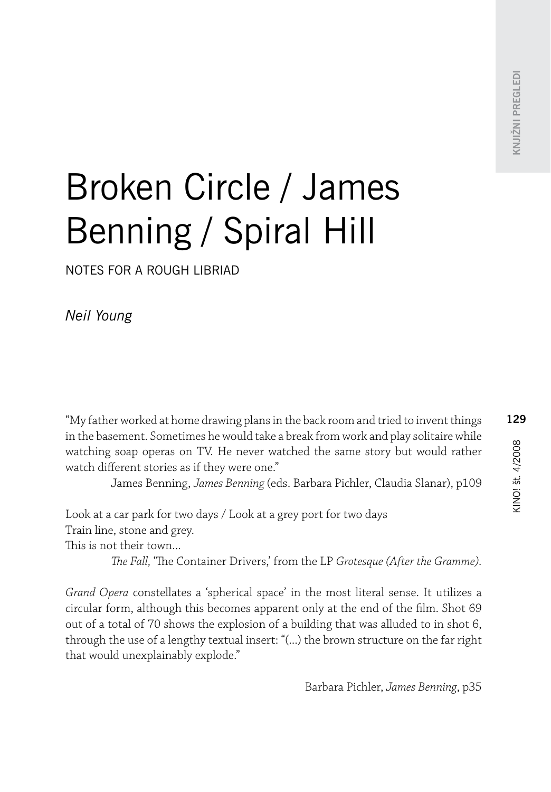# Broken Circle / James Benning / Spiral Hill

notes for a rough libriad

*Neil Young*

"My father worked at home drawing plans in the back room and tried to invent things in the basement. Sometimes he would take a break from work and play solitaire while watching soap operas on TV. He never watched the same story but would rather watch different stories as if they were one."

James Benning, *James Benning* (eds. Barbara Pichler, Claudia Slanar), p109

Look at a car park for two days / Look at a grey port for two days Train line, stone and grey.

This is not their town...

*The Fall,* 'The Container Drivers,' from the LP *Grotesque (After the Gramme).*

*Grand Opera* constellates a 'spherical space' in the most literal sense. It utilizes a circular form, although this becomes apparent only at the end of the film. Shot 69 out of a total of 70 shows the explosion of a building that was alluded to in shot 6, through the use of a lengthy textual insert: "(...) the brown structure on the far right that would unexplainably explode."

Barbara Pichler, *James Benning*, p35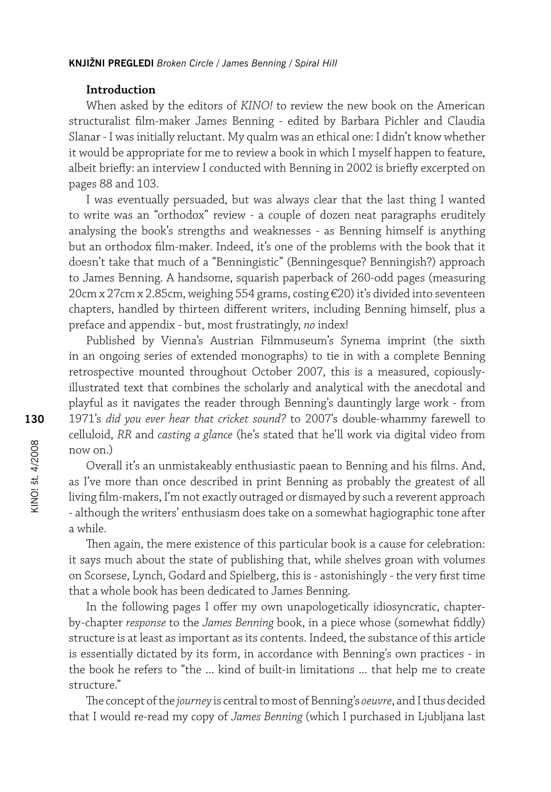#### **Introduction**

When asked by the editors of *KINO!* to review the new book on the American structuralist film-maker James Benning - edited by Barbara Pichler and Claudia Slanar - I was initially reluctant. My qualm was an ethical one: I didn't know whether it would be appropriate for me to review a book in which I myself happen to feature, albeit briefly: an interview I conducted with Benning in 2002 is briefly excerpted on pages 88 and 103.

I was eventually persuaded, but was always clear that the last thing I wanted to write was an "orthodox" review - a couple of dozen neat paragraphs eruditely analysing the book's strengths and weaknesses - as Benning himself is anything but an orthodox film-maker. Indeed, it's one of the problems with the book that it doesn't take that much of a "Benningistic" (Benningesque? Benningish?) approach to James Benning. A handsome, squarish paperback of 260-odd pages (measuring 20cm x 27cm x 2.85cm, weighing 554 grams, costing €20) it's divided into seventeen chapters, handled by thirteen different writers, including Benning himself, plus a preface and appendix - but, most frustratingly, *no* index!

Published by Vienna's Austrian Filmmuseum's Synema imprint (the sixth in an ongoing series of extended monographs) to tie in with a complete Benning retrospective mounted throughout October 2007, this is a measured, copiouslyillustrated text that combines the scholarly and analytical with the anecdotal and playful as it navigates the reader through Benning's dauntingly large work - from 1971's *did you ever hear that cricket sound?* to 2007's double-whammy farewell to celluloid, *RR* and *casting a glance* (he's stated that he'll work via digital video from now on.)

Overall it's an unmistakeably enthusiastic paean to Benning and his films. And, as I've more than once described in print Benning as probably the greatest of all living film-makers, I'm not exactly outraged or dismayed by such a reverent approach - although the writers' enthusiasm does take on a somewhat hagiographic tone after a while.

Then again, the mere existence of this particular book is a cause for celebration: it says much about the state of publishing that, while shelves groan with volumes on Scorsese, Lynch, Godard and Spielberg, this is - astonishingly - the very first time that a whole book has been dedicated to James Benning.

In the following pages I offer my own unapologetically idiosyncratic, chapterby-chapter *response* to the *James Benning* book, in a piece whose (somewhat fiddly) structure is at least as important as its contents. Indeed, the substance of this article is essentially dictated by its form, in accordance with Benning's own practices - in the book he refers to "the ... kind of built-in limitations ... that help me to create structure."

The concept of the *journey* is central to most of Benning's *oeuvre*, and I thus decided that I would re-read my copy of *James Benning* (which I purchased in Ljubljana last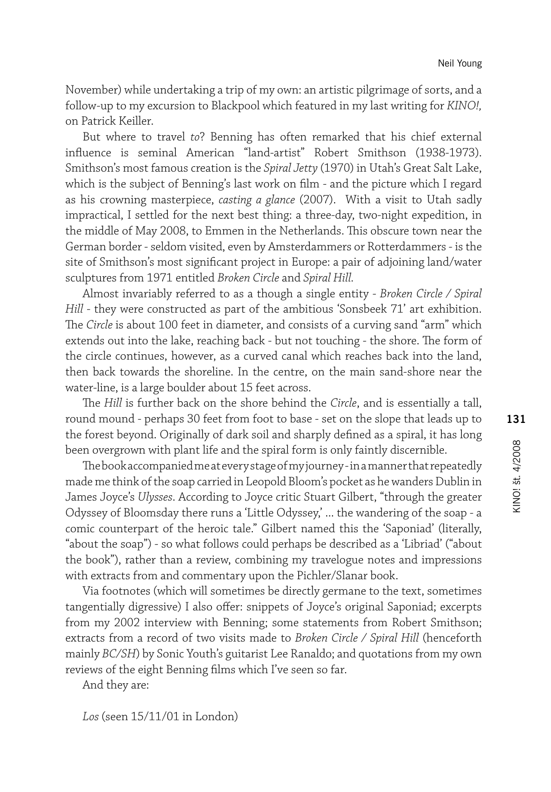November) while undertaking a trip of my own: an artistic pilgrimage of sorts, and a follow-up to my excursion to Blackpool which featured in my last writing for *KINO!,*  on Patrick Keiller.

But where to travel *to*? Benning has often remarked that his chief external influence is seminal American "land-artist" Robert Smithson (1938-1973). Smithson's most famous creation is the *Spiral Jetty* (1970) in Utah's Great Salt Lake, which is the subject of Benning's last work on film - and the picture which I regard as his crowning masterpiece, *casting a glance* (2007). With a visit to Utah sadly impractical, I settled for the next best thing: a three-day, two-night expedition, in the middle of May 2008, to Emmen in the Netherlands. This obscure town near the German border - seldom visited, even by Amsterdammers or Rotterdammers - is the site of Smithson's most significant project in Europe: a pair of adjoining land/water sculptures from 1971 entitled *Broken Circle* and *Spiral Hill.* 

Almost invariably referred to as a though a single entity - *Broken Circle / Spiral Hill* - they were constructed as part of the ambitious 'Sonsbeek 71' art exhibition. The *Circle* is about 100 feet in diameter, and consists of a curving sand "arm" which extends out into the lake, reaching back - but not touching - the shore. The form of the circle continues, however, as a curved canal which reaches back into the land, then back towards the shoreline. In the centre, on the main sand-shore near the water-line, is a large boulder about 15 feet across.

The *Hill* is further back on the shore behind the *Circle*, and is essentially a tall, round mound - perhaps 30 feet from foot to base - set on the slope that leads up to the forest beyond. Originally of dark soil and sharply defined as a spiral, it has long been overgrown with plant life and the spiral form is only faintly discernible.

The book accompanied me at every stage of my journey - in a manner that repeatedly made me think of the soap carried in Leopold Bloom's pocket as he wanders Dublin in James Joyce's *Ulysses*. According to Joyce critic Stuart Gilbert, "through the greater Odyssey of Bloomsday there runs a 'Little Odyssey,' ... the wandering of the soap - a comic counterpart of the heroic tale." Gilbert named this the 'Saponiad' (literally, "about the soap") - so what follows could perhaps be described as a 'Libriad' ("about the book"), rather than a review, combining my travelogue notes and impressions with extracts from and commentary upon the Pichler/Slanar book.

Via footnotes (which will sometimes be directly germane to the text, sometimes tangentially digressive) I also offer: snippets of Joyce's original Saponiad; excerpts from my 2002 interview with Benning; some statements from Robert Smithson; extracts from a record of two visits made to *Broken Circle / Spiral Hill* (henceforth mainly *BC/SH*) by Sonic Youth's guitarist Lee Ranaldo; and quotations from my own reviews of the eight Benning films which I've seen so far.

And they are:

*Los* (seen 15/11/01 in London)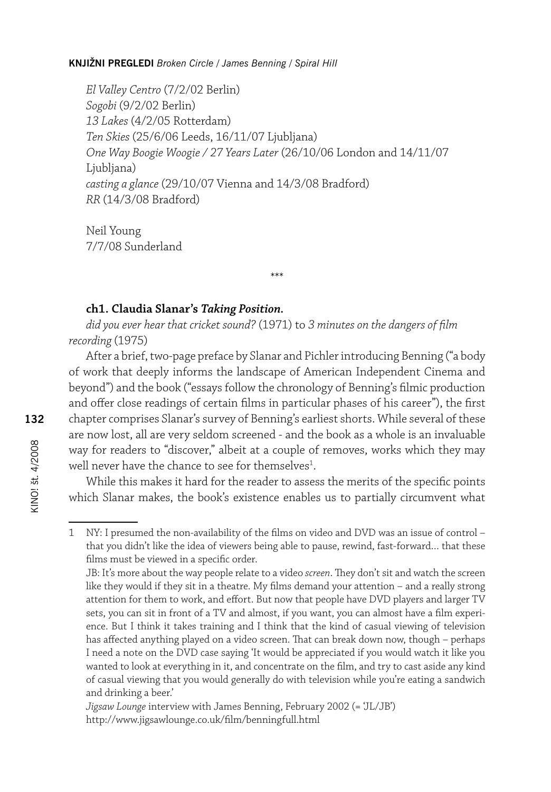*El Valley Centro* (7/2/02 Berlin) *Sogobi* (9/2/02 Berlin) *13 Lakes* (4/2/05 Rotterdam) *Ten Skies* (25/6/06 Leeds, 16/11/07 Ljubljana) *One Way Boogie Woogie / 27 Years Later* (26/10/06 London and 14/11/07 Liubliana) *casting a glance* (29/10/07 Vienna and 14/3/08 Bradford) *RR* (14/3/08 Bradford)

Neil Young 7/7/08 Sunderland

# **ch1. Claudia Slanar's** *Taking Position.*

*did you ever hear that cricket sound?* (1971) to *3 minutes on the dangers of film recording* (1975)

\*\*\*

After a brief, two-page preface by Slanar and Pichler introducing Benning ("a body of work that deeply informs the landscape of American Independent Cinema and beyond") and the book ("essays follow the chronology of Benning's filmic production and offer close readings of certain films in particular phases of his career"), the first chapter comprises Slanar's survey of Benning's earliest shorts. While several of these are now lost, all are very seldom screened - and the book as a whole is an invaluable way for readers to "discover," albeit at a couple of removes, works which they may well never have the chance to see for themselves $^1$ .

While this makes it hard for the reader to assess the merits of the specific points which Slanar makes, the book's existence enables us to partially circumvent what

<sup>1</sup> NY: I presumed the non-availability of the films on video and DVD was an issue of control – that you didn't like the idea of viewers being able to pause, rewind, fast-forward… that these films must be viewed in a specific order.

JB: It's more about the way people relate to a video *screen*. They don't sit and watch the screen like they would if they sit in a theatre. My films demand your attention – and a really strong attention for them to work, and effort. But now that people have DVD players and larger TV sets, you can sit in front of a TV and almost, if you want, you can almost have a film experience. But I think it takes training and I think that the kind of casual viewing of television has affected anything played on a video screen. That can break down now, though – perhaps I need a note on the DVD case saying 'It would be appreciated if you would watch it like you wanted to look at everything in it, and concentrate on the film, and try to cast aside any kind of casual viewing that you would generally do with television while you're eating a sandwich and drinking a beer.'

*Jigsaw Lounge* interview with James Benning, February 2002 (= 'JL/JB') http://www.jigsawlounge.co.uk/film/benningfull.html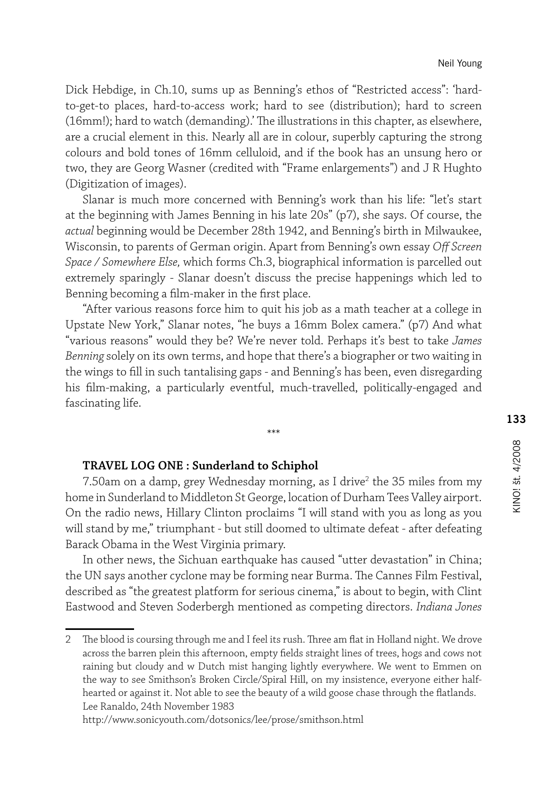Dick Hebdige, in Ch.10, sums up as Benning's ethos of "Restricted access": 'hardto-get-to places, hard-to-access work; hard to see (distribution); hard to screen (16mm!); hard to watch (demanding).' The illustrations in this chapter, as elsewhere, are a crucial element in this. Nearly all are in colour, superbly capturing the strong colours and bold tones of 16mm celluloid, and if the book has an unsung hero or two, they are Georg Wasner (credited with "Frame enlargements") and J R Hughto (Digitization of images).

Slanar is much more concerned with Benning's work than his life: "let's start at the beginning with James Benning in his late 20s" (p7), she says. Of course, the *actual* beginning would be December 28th 1942, and Benning's birth in Milwaukee, Wisconsin, to parents of German origin. Apart from Benning's own essay *Off Screen Space / Somewhere Else,* which forms Ch.3, biographical information is parcelled out extremely sparingly - Slanar doesn't discuss the precise happenings which led to Benning becoming a film-maker in the first place.

"After various reasons force him to quit his job as a math teacher at a college in Upstate New York," Slanar notes, "he buys a 16mm Bolex camera." (p7) And what "various reasons" would they be? We're never told. Perhaps it's best to take *James Benning* solely on its own terms, and hope that there's a biographer or two waiting in the wings to fill in such tantalising gaps - and Benning's has been, even disregarding his film-making, a particularly eventful, much-travelled, politically-engaged and fascinating life.

\*\*\*

#### **TRAVEL LOG ONE : Sunderland to Schiphol**

7.50am on a damp, grey Wednesday morning, as I drive<sup>2</sup> the 35 miles from my home in Sunderland to Middleton St George, location of Durham Tees Valley airport. On the radio news, Hillary Clinton proclaims "I will stand with you as long as you will stand by me," triumphant - but still doomed to ultimate defeat - after defeating Barack Obama in the West Virginia primary.

In other news, the Sichuan earthquake has caused "utter devastation" in China; the UN says another cyclone may be forming near Burma. The Cannes Film Festival, described as "the greatest platform for serious cinema," is about to begin, with Clint Eastwood and Steven Soderbergh mentioned as competing directors. *Indiana Jones* 

http://www.sonicyouth.com/dotsonics/lee/prose/smithson.html

<sup>2</sup> The blood is coursing through me and I feel its rush. Three am flat in Holland night. We drove across the barren plein this afternoon, empty fields straight lines of trees, hogs and cows not raining but cloudy and w Dutch mist hanging lightly everywhere. We went to Emmen on the way to see Smithson's Broken Circle/Spiral Hill, on my insistence, everyone either halfhearted or against it. Not able to see the beauty of a wild goose chase through the flatlands. Lee Ranaldo, 24th November 1983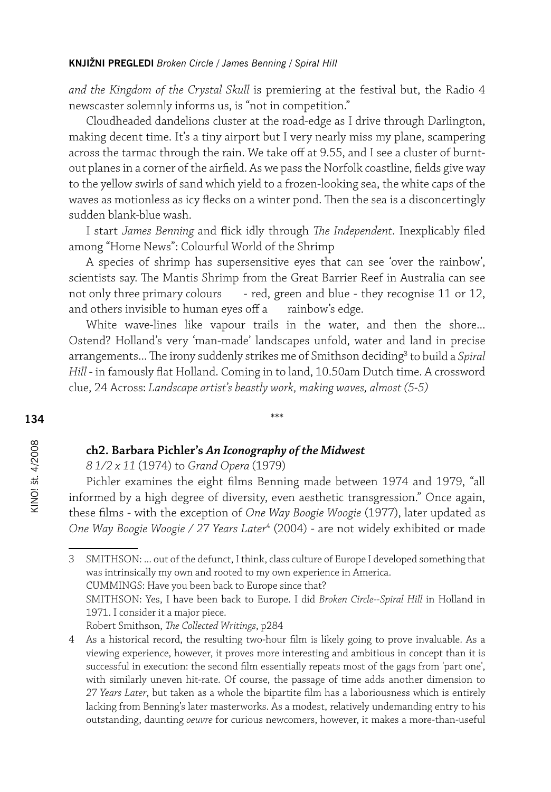*and the Kingdom of the Crystal Skull* is premiering at the festival but, the Radio 4 newscaster solemnly informs us, is "not in competition."

Cloudheaded dandelions cluster at the road-edge as I drive through Darlington, making decent time. It's a tiny airport but I very nearly miss my plane, scampering across the tarmac through the rain. We take off at 9.55, and I see a cluster of burntout planes in a corner of the airfield. As we pass the Norfolk coastline, fields give way to the yellow swirls of sand which yield to a frozen-looking sea, the white caps of the waves as motionless as icy flecks on a winter pond. Then the sea is a disconcertingly sudden blank-blue wash.

I start *James Benning* and flick idly through *The Independent*. Inexplicably filed among "Home News": Colourful World of the Shrimp

A species of shrimp has supersensitive eyes that can see 'over the rainbow', scientists say. The Mantis Shrimp from the Great Barrier Reef in Australia can see not only three primary colours - red, green and blue - they recognise 11 or 12, and others invisible to human eyes off a rainbow's edge.

White wave-lines like vapour trails in the water, and then the shore... Ostend? Holland's very 'man-made' landscapes unfold, water and land in precise arrangements... The irony suddenly strikes me of Smithson deciding<sup>3</sup> to build a *Spiral Hill* - in famously flat Holland. Coming in to land, 10.50am Dutch time. A crossword clue, 24 Across: *Landscape artist's beastly work, making waves, almost (5-5)*

\*\*\*

#### **ch2. Barbara Pichler's** *An Iconography of the Midwest*

*8 1/2 x 11* (1974) to *Grand Opera* (1979)

Pichler examines the eight films Benning made between 1974 and 1979, "all informed by a high degree of diversity, even aesthetic transgression." Once again, these films - with the exception of *One Way Boogie Woogie* (1977), later updated as *One Way Boogie Woogie / 27 Years Later*<sup>4</sup> (2004) - are not widely exhibited or made

3 SMITHSON: ... out of the defunct, I think, class culture of Europe I developed something that was intrinsically my own and rooted to my own experience in America. CUMMINGS: Have you been back to Europe since that?

SMITHSON: Yes, I have been back to Europe. I did *Broken Circle--Spiral Hill* in Holland in 1971. I consider it a major piece.

Robert Smithson, *The Collected Writings*, p284

KINO! št. 4/2008

<sup>4</sup> As a historical record, the resulting two-hour film is likely going to prove invaluable. As a viewing experience, however, it proves more interesting and ambitious in concept than it is successful in execution: the second film essentially repeats most of the gags from 'part one', with similarly uneven hit-rate. Of course, the passage of time adds another dimension to *27 Years Later*, but taken as a whole the bipartite film has a laboriousness which is entirely lacking from Benning's later masterworks. As a modest, relatively undemanding entry to his outstanding, daunting *oeuvre* for curious newcomers, however, it makes a more-than-useful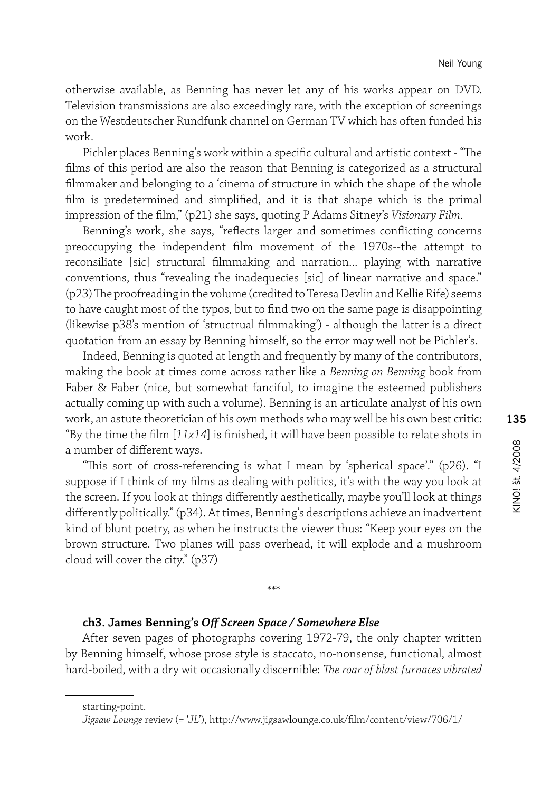otherwise available, as Benning has never let any of his works appear on DVD. Television transmissions are also exceedingly rare, with the exception of screenings on the Westdeutscher Rundfunk channel on German TV which has often funded his work.

Pichler places Benning's work within a specific cultural and artistic context - "The films of this period are also the reason that Benning is categorized as a structural filmmaker and belonging to a 'cinema of structure in which the shape of the whole film is predetermined and simplified, and it is that shape which is the primal impression of the film," (p21) she says, quoting P Adams Sitney's *Visionary Film*.

Benning's work, she says, "reflects larger and sometimes conflicting concerns preoccupying the independent film movement of the 1970s--the attempt to reconsiliate [sic] structural filmmaking and narration... playing with narrative conventions, thus "revealing the inadequecies [sic] of linear narrative and space." (p23) The proofreading in the volume (credited to Teresa Devlin and Kellie Rife) seems to have caught most of the typos, but to find two on the same page is disappointing (likewise p38's mention of 'structrual filmmaking') - although the latter is a direct quotation from an essay by Benning himself, so the error may well not be Pichler's.

Indeed, Benning is quoted at length and frequently by many of the contributors, making the book at times come across rather like a *Benning on Benning* book from Faber & Faber (nice, but somewhat fanciful, to imagine the esteemed publishers actually coming up with such a volume). Benning is an articulate analyst of his own work, an astute theoretician of his own methods who may well be his own best critic: "By the time the film [*11x14*] is finished, it will have been possible to relate shots in a number of different ways.

"This sort of cross-referencing is what I mean by 'spherical space'." (p26). "I suppose if I think of my films as dealing with politics, it's with the way you look at the screen. If you look at things differently aesthetically, maybe you'll look at things differently politically." (p34). At times, Benning's descriptions achieve an inadvertent kind of blunt poetry, as when he instructs the viewer thus: "Keep your eyes on the brown structure. Two planes will pass overhead, it will explode and a mushroom cloud will cover the city." (p37)

# **ch3. James Benning's** *Off Screen Space / Somewhere Else*

After seven pages of photographs covering 1972-79, the only chapter written by Benning himself, whose prose style is staccato, no-nonsense, functional, almost hard-boiled, with a dry wit occasionally discernible: *The roar of blast furnaces vibrated* 

\*\*\*

starting-point.

*Jigsaw Lounge* review (= '*JL*'), http://www.jigsawlounge.co.uk/film/content/view/706/1/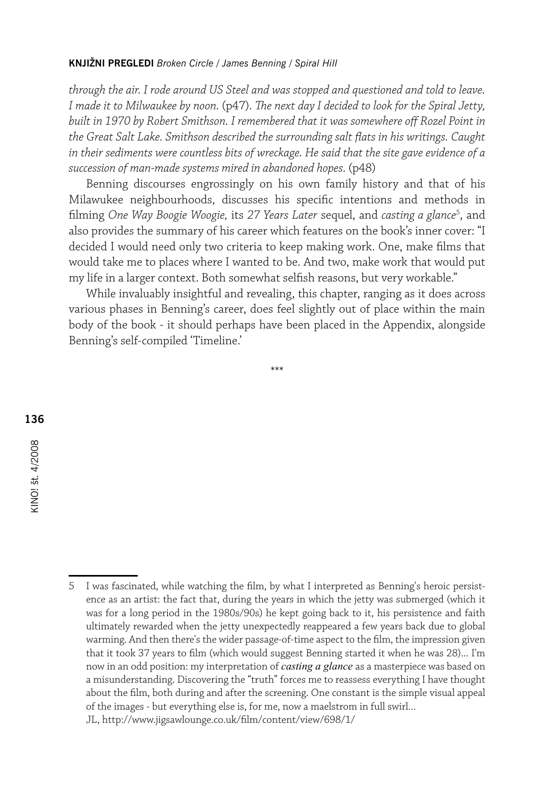*through the air. I rode around US Steel and was stopped and questioned and told to leave. I made it to Milwaukee by noon.* (p47). *The next day I decided to look for the Spiral Jetty, built in 1970 by Robert Smithson. I remembered that it was somewhere off Rozel Point in the Great Salt Lake. Smithson described the surrounding salt flats in his writings. Caught in their sediments were countless bits of wreckage. He said that the site gave evidence of a succession of man-made systems mired in abandoned hopes.* (p48)

Benning discourses engrossingly on his own family history and that of his Milawukee neighbourhoods, discusses his specific intentions and methods in filming *One Way Boogie Woogie,* its *27 Years Later* sequel, and *casting a glance*<sup>5</sup> , and also provides the summary of his career which features on the book's inner cover: "I decided I would need only two criteria to keep making work. One, make films that would take me to places where I wanted to be. And two, make work that would put my life in a larger context. Both somewhat selfish reasons, but very workable."

While invaluably insightful and revealing, this chapter, ranging as it does across various phases in Benning's career, does feel slightly out of place within the main body of the book - it should perhaps have been placed in the Appendix, alongside Benning's self-compiled 'Timeline.'

\*\*\*

5 I was fascinated, while watching the film, by what I interpreted as Benning's heroic persistence as an artist: the fact that, during the years in which the jetty was submerged (which it was for a long period in the 1980s/90s) he kept going back to it, his persistence and faith ultimately rewarded when the jetty unexpectedly reappeared a few years back due to global warming. And then there's the wider passage-of-time aspect to the film, the impression given that it took 37 years to film (which would suggest Benning started it when he was 28)... I'm now in an odd position: my interpretation of *casting a glance* as a masterpiece was based on a misunderstanding. Discovering the "truth" forces me to reassess everything I have thought about the film, both during and after the screening. One constant is the simple visual appeal of the images - but everything else is, for me, now a maelstrom in full swirl... JL, http://www.jigsawlounge.co.uk/film/content/view/698/1/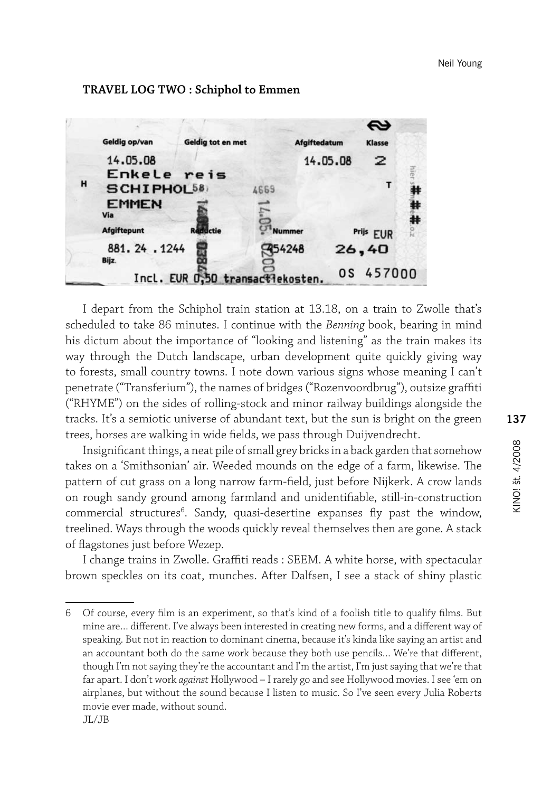# **TRAVEL LOG TWO : Schiphol to Emmen**



I depart from the Schiphol train station at 13.18, on a train to Zwolle that's scheduled to take 86 minutes. I continue with the *Benning* book, bearing in mind his dictum about the importance of "looking and listening" as the train makes its way through the Dutch landscape, urban development quite quickly giving way to forests, small country towns. I note down various signs whose meaning I can't penetrate ("Transferium"), the names of bridges ("Rozenvoordbrug"), outsize graffiti ("RHYME") on the sides of rolling-stock and minor railway buildings alongside the tracks. It's a semiotic universe of abundant text, but the sun is bright on the green trees, horses are walking in wide fields, we pass through Duijvendrecht.

Insignificant things, a neat pile of small grey bricks in a back garden that somehow takes on a 'Smithsonian' air. Weeded mounds on the edge of a farm, likewise. The pattern of cut grass on a long narrow farm-field, just before Nijkerk. A crow lands on rough sandy ground among farmland and unidentifiable, still-in-construction commercial structures<sup>6</sup>. Sandy, quasi-desertine expanses fly past the window, treelined. Ways through the woods quickly reveal themselves then are gone. A stack of flagstones just before Wezep.

I change trains in Zwolle. Graffiti reads : SEEM. A white horse, with spectacular brown speckles on its coat, munches. After Dalfsen, I see a stack of shiny plastic

<sup>6</sup> Of course, every film is an experiment, so that's kind of a foolish title to qualify films. But mine are… different. I've always been interested in creating new forms, and a different way of speaking. But not in reaction to dominant cinema, because it's kinda like saying an artist and an accountant both do the same work because they both use pencils… We're that different, though I'm not saying they're the accountant and I'm the artist, I'm just saying that we're that far apart. I don't work *against* Hollywood – I rarely go and see Hollywood movies. I see 'em on airplanes, but without the sound because I listen to music. So I've seen every Julia Roberts movie ever made, without sound. JL/JB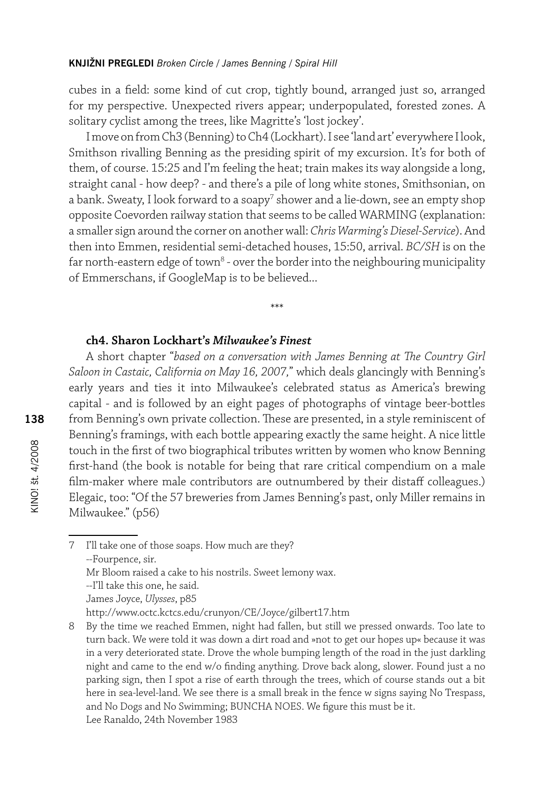cubes in a field: some kind of cut crop, tightly bound, arranged just so, arranged for my perspective. Unexpected rivers appear; underpopulated, forested zones. A solitary cyclist among the trees, like Magritte's 'lost jockey'.

I move on from Ch3 (Benning) to Ch4 (Lockhart). I see 'land art' everywhere I look, Smithson rivalling Benning as the presiding spirit of my excursion. It's for both of them, of course. 15:25 and I'm feeling the heat; train makes its way alongside a long, straight canal - how deep? - and there's a pile of long white stones, Smithsonian, on a bank. Sweaty, I look forward to a soapy $^7$  shower and a lie-down, see an empty shop opposite Coevorden railway station that seems to be called WARMING (explanation: a smaller sign around the corner on another wall: *Chris Warming's Diesel-Service*). And then into Emmen, residential semi-detached houses, 15:50, arrival. *BC/SH* is on the far north-eastern edge of town<sup>8</sup> - over the border into the neighbouring municipality of Emmerschans, if GoogleMap is to be believed...

\*\*\*

# **ch4. Sharon Lockhart's** *Milwaukee's Finest*

A short chapter "*based on a conversation with James Benning at The Country Girl Saloon in Castaic, California on May 16, 2007,*" which deals glancingly with Benning's early years and ties it into Milwaukee's celebrated status as America's brewing capital - and is followed by an eight pages of photographs of vintage beer-bottles from Benning's own private collection. These are presented, in a style reminiscent of Benning's framings, with each bottle appearing exactly the same height. A nice little touch in the first of two biographical tributes written by women who know Benning first-hand (the book is notable for being that rare critical compendium on a male film-maker where male contributors are outnumbered by their distaff colleagues.) Elegaic, too: "Of the 57 breweries from James Benning's past, only Miller remains in Milwaukee." (p56)

7 I'll take one of those soaps. How much are they? --Fourpence, sir. Mr Bloom raised a cake to his nostrils. Sweet lemony wax. --I'll take this one, he said. James Joyce, *Ulysses*, p85

http://www.octc.kctcs.edu/crunyon/CE/Joyce/gilbert17.htm

<sup>8</sup> By the time we reached Emmen, night had fallen, but still we pressed onwards. Too late to turn back. We were told it was down a dirt road and »not to get our hopes up« because it was in a very deteriorated state. Drove the whole bumping length of the road in the just darkling night and came to the end w/o finding anything. Drove back along, slower. Found just a no parking sign, then I spot a rise of earth through the trees, which of course stands out a bit here in sea-level-land. We see there is a small break in the fence w signs saying No Trespass, and No Dogs and No Swimming; BUNCHA NOES. We figure this must be it. Lee Ranaldo, 24th November 1983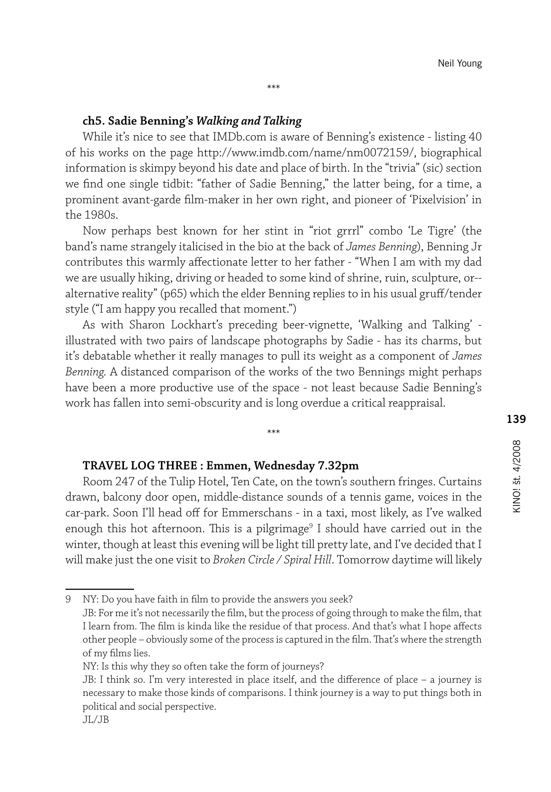#### **ch5. Sadie Benning's** *Walking and Talking*

While it's nice to see that IMDb.com is aware of Benning's existence - listing 40 of his works on the page http://www.imdb.com/name/nm0072159/, biographical information is skimpy beyond his date and place of birth. In the "trivia" (sic) section we find one single tidbit: "father of Sadie Benning," the latter being, for a time, a prominent avant-garde film-maker in her own right, and pioneer of 'Pixelvision' in the 1980s.

Now perhaps best known for her stint in "riot grrrl" combo 'Le Tigre' (the band's name strangely italicised in the bio at the back of *James Benning*), Benning Jr contributes this warmly affectionate letter to her father - "When I am with my dad we are usually hiking, driving or headed to some kind of shrine, ruin, sculpture, or- alternative reality" (p65) which the elder Benning replies to in his usual gruff/tender style ("I am happy you recalled that moment.")

As with Sharon Lockhart's preceding beer-vignette, 'Walking and Talking' illustrated with two pairs of landscape photographs by Sadie - has its charms, but it's debatable whether it really manages to pull its weight as a component of *James Benning.* A distanced comparison of the works of the two Bennings might perhaps have been a more productive use of the space - not least because Sadie Benning's work has fallen into semi-obscurity and is long overdue a critical reappraisal.

\*\*\*

#### **TRAVEL LOG THREE : Emmen, Wednesday 7.32pm**

Room 247 of the Tulip Hotel, Ten Cate, on the town's southern fringes. Curtains drawn, balcony door open, middle-distance sounds of a tennis game, voices in the car-park. Soon I'll head off for Emmerschans - in a taxi, most likely, as I've walked enough this hot afternoon. This is a pilgrimage<sup>9</sup> I should have carried out in the winter, though at least this evening will be light till pretty late, and I've decided that I will make just the one visit to *Broken Circle / Spiral Hill*. Tomorrow daytime will likely

9 NY: Do you have faith in film to provide the answers you seek?

JB: For me it's not necessarily the film, but the process of going through to make the film, that I learn from. The film is kinda like the residue of that process. And that's what I hope affects other people – obviously some of the process is captured in the film. That's where the strength of my films lies.

NY: Is this why they so often take the form of journeys?

JB: I think so. I'm very interested in place itself, and the difference of place – a journey is necessary to make those kinds of comparisons. I think journey is a way to put things both in political and social perspective.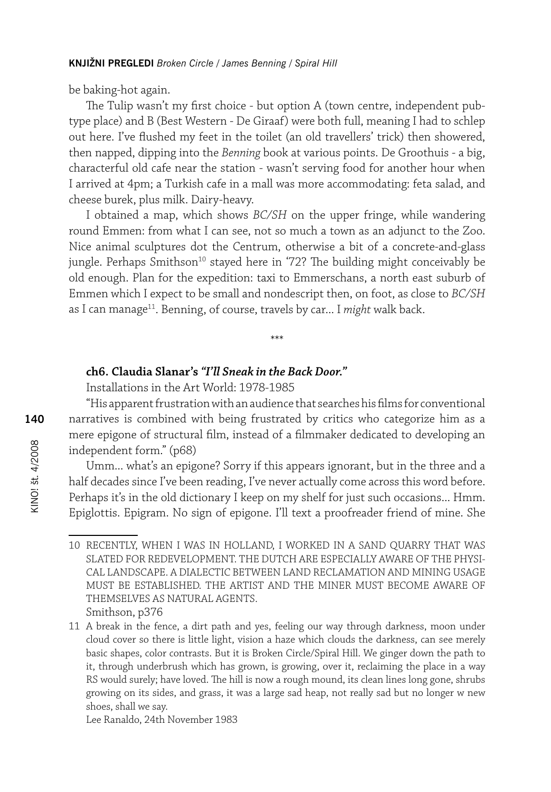be baking-hot again.

The Tulip wasn't my first choice - but option A (town centre, independent pubtype place) and B (Best Western - De Giraaf) were both full, meaning I had to schlep out here. I've flushed my feet in the toilet (an old travellers' trick) then showered, then napped, dipping into the *Benning* book at various points. De Groothuis - a big, characterful old cafe near the station - wasn't serving food for another hour when I arrived at 4pm; a Turkish cafe in a mall was more accommodating: feta salad, and cheese burek, plus milk. Dairy-heavy.

I obtained a map, which shows *BC/SH* on the upper fringe, while wandering round Emmen: from what I can see, not so much a town as an adjunct to the Zoo. Nice animal sculptures dot the Centrum, otherwise a bit of a concrete-and-glass jungle. Perhaps Smithson<sup>10</sup> stayed here in '72? The building might conceivably be old enough. Plan for the expedition: taxi to Emmerschans, a north east suburb of Emmen which I expect to be small and nondescript then, on foot, as close to *BC/SH* as I can manage<sup>11</sup>. Benning, of course, travels by car... I *might* walk back.

\*\*\*

# **ch6. Claudia Slanar's** *"I'll Sneak in the Back Door."*

Installations in the Art World: 1978-1985

"His apparent frustration with an audience that searches his films for conventional narratives is combined with being frustrated by critics who categorize him as a mere epigone of structural film, instead of a filmmaker dedicated to developing an independent form." (p68)

Umm... what's an epigone? Sorry if this appears ignorant, but in the three and a half decades since I've been reading, I've never actually come across this word before. Perhaps it's in the old dictionary I keep on my shelf for just such occasions... Hmm. Epiglottis. Epigram. No sign of epigone. I'll text a proofreader friend of mine. She

Lee Ranaldo, 24th November 1983

<sup>10</sup> RECENTLY, WHEN I WAS IN HOLLAND, I WORKED IN A SAND QUARRY THAT WAS SLATED FOR REDEVELOPMENT. THE DUTCH ARE ESPECIALLY AWARE OF THE PHYSI-CAL LANDSCAPE. A DIALECTIC BETWEEN LAND RECLAMATION AND MINING USAGE MUST BE ESTABLISHED. THE ARTIST AND THE MINER MUST BECOME AWARE OF THEMSELVES AS NATURAL AGENTS. Smithson, p376

<sup>11</sup> A break in the fence, a dirt path and yes, feeling our way through darkness, moon under cloud cover so there is little light, vision a haze which clouds the darkness, can see merely basic shapes, color contrasts. But it is Broken Circle/Spiral Hill. We ginger down the path to it, through underbrush which has grown, is growing, over it, reclaiming the place in a way RS would surely; have loved. The hill is now a rough mound, its clean lines long gone, shrubs growing on its sides, and grass, it was a large sad heap, not really sad but no longer w new shoes, shall we say.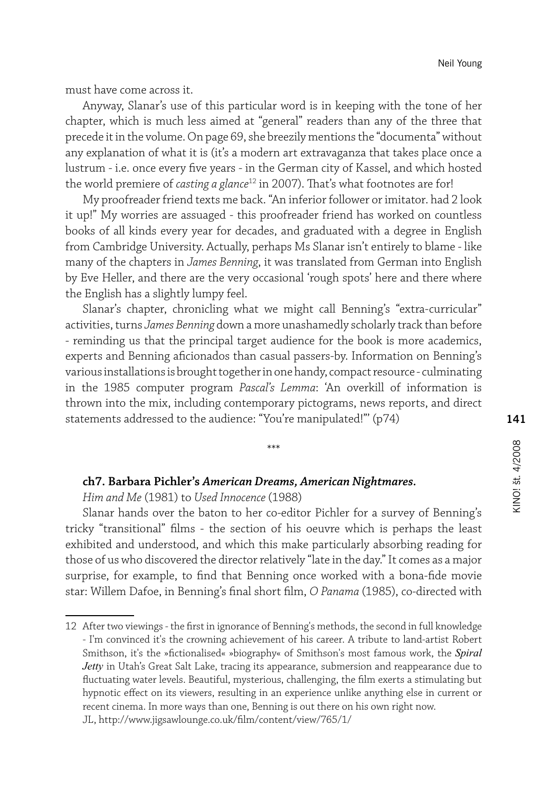must have come across it.

Anyway, Slanar's use of this particular word is in keeping with the tone of her chapter, which is much less aimed at "general" readers than any of the three that precede it in the volume. On page 69, she breezily mentions the "documenta" without any explanation of what it is (it's a modern art extravaganza that takes place once a lustrum - i.e. once every five years - in the German city of Kassel, and which hosted the world premiere of *casting a glance*<sup>12</sup> in 2007). That's what footnotes are for!

My proofreader friend texts me back. "An inferior follower or imitator. had 2 look it up!" My worries are assuaged - this proofreader friend has worked on countless books of all kinds every year for decades, and graduated with a degree in English from Cambridge University. Actually, perhaps Ms Slanar isn't entirely to blame - like many of the chapters in *James Benning*, it was translated from German into English by Eve Heller, and there are the very occasional 'rough spots' here and there where the English has a slightly lumpy feel.

Slanar's chapter, chronicling what we might call Benning's "extra-curricular" activities, turns *James Benning* down a more unashamedly scholarly track than before - reminding us that the principal target audience for the book is more academics, experts and Benning aficionados than casual passers-by. Information on Benning's various installations is brought together in one handy, compact resource - culminating in the 1985 computer program *Pascal's Lemma*: 'An overkill of information is thrown into the mix, including contemporary pictograms, news reports, and direct statements addressed to the audience: "You're manipulated!"' (p74)

\*\*\*

# **ch7. Barbara Pichler's** *American Dreams, American Nightmares.*

*Him and Me* (1981) to *Used Innocence* (1988)

Slanar hands over the baton to her co-editor Pichler for a survey of Benning's tricky "transitional" films - the section of his oeuvre which is perhaps the least exhibited and understood, and which this make particularly absorbing reading for those of us who discovered the director relatively "late in the day." It comes as a major surprise, for example, to find that Benning once worked with a bona-fide movie star: Willem Dafoe, in Benning's final short film, *O Panama* (1985), co-directed with

<sup>12</sup> After two viewings - the first in ignorance of Benning's methods, the second in full knowledge - I'm convinced it's the crowning achievement of his career. A tribute to land-artist Robert Smithson, it's the »fictionalised« »biography« of Smithson's most famous work, the *Spiral Jetty* in Utah's Great Salt Lake, tracing its appearance, submersion and reappearance due to fluctuating water levels. Beautiful, mysterious, challenging, the film exerts a stimulating but hypnotic effect on its viewers, resulting in an experience unlike anything else in current or recent cinema. In more ways than one, Benning is out there on his own right now. JL, http://www.jigsawlounge.co.uk/film/content/view/765/1/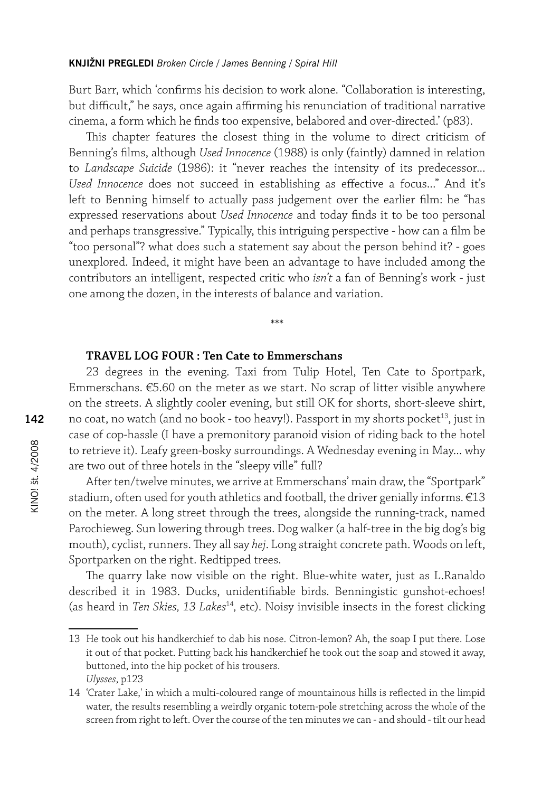Burt Barr, which 'confirms his decision to work alone. "Collaboration is interesting, but difficult," he says, once again affirming his renunciation of traditional narrative cinema, a form which he finds too expensive, belabored and over-directed.' (p83).

This chapter features the closest thing in the volume to direct criticism of Benning's films, although *Used Innocence* (1988) is only (faintly) damned in relation to *Landscape Suicide* (1986): it "never reaches the intensity of its predecessor... *Used Innocence* does not succeed in establishing as effective a focus..." And it's left to Benning himself to actually pass judgement over the earlier film: he "has expressed reservations about *Used Innocence* and today finds it to be too personal and perhaps transgressive." Typically, this intriguing perspective - how can a film be "too personal"? what does such a statement say about the person behind it? - goes unexplored. Indeed, it might have been an advantage to have included among the contributors an intelligent, respected critic who *isn't* a fan of Benning's work - just one among the dozen, in the interests of balance and variation.

#### **TRAVEL LOG FOUR : Ten Cate to Emmerschans**

23 degrees in the evening. Taxi from Tulip Hotel, Ten Cate to Sportpark, Emmerschans. €5.60 on the meter as we start. No scrap of litter visible anywhere on the streets. A slightly cooler evening, but still OK for shorts, short-sleeve shirt, no coat, no watch (and no book - too heavy!). Passport in my shorts pocket<sup>13</sup>, just in case of cop-hassle (I have a premonitory paranoid vision of riding back to the hotel to retrieve it). Leafy green-bosky surroundings. A Wednesday evening in May... why are two out of three hotels in the "sleepy ville" full?

\*\*\*

After ten/twelve minutes, we arrive at Emmerschans' main draw, the "Sportpark" stadium, often used for youth athletics and football, the driver genially informs. €13 on the meter. A long street through the trees, alongside the running-track, named Parochieweg. Sun lowering through trees. Dog walker (a half-tree in the big dog's big mouth), cyclist, runners. They all say *hej*. Long straight concrete path. Woods on left, Sportparken on the right. Redtipped trees.

The quarry lake now visible on the right. Blue-white water, just as L.Ranaldo described it in 1983. Ducks, unidentifiable birds. Benningistic gunshot-echoes! (as heard in *Ten Skies, 13 Lakes*<sup>14</sup>*,* etc). Noisy invisible insects in the forest clicking

<sup>13</sup> He took out his handkerchief to dab his nose. Citron-lemon? Ah, the soap I put there. Lose it out of that pocket. Putting back his handkerchief he took out the soap and stowed it away, buttoned, into the hip pocket of his trousers. *Ulysses*, p123

<sup>14</sup> 'Crater Lake,' in which a multi-coloured range of mountainous hills is reflected in the limpid water, the results resembling a weirdly organic totem-pole stretching across the whole of the screen from right to left. Over the course of the ten minutes we can - and should - tilt our head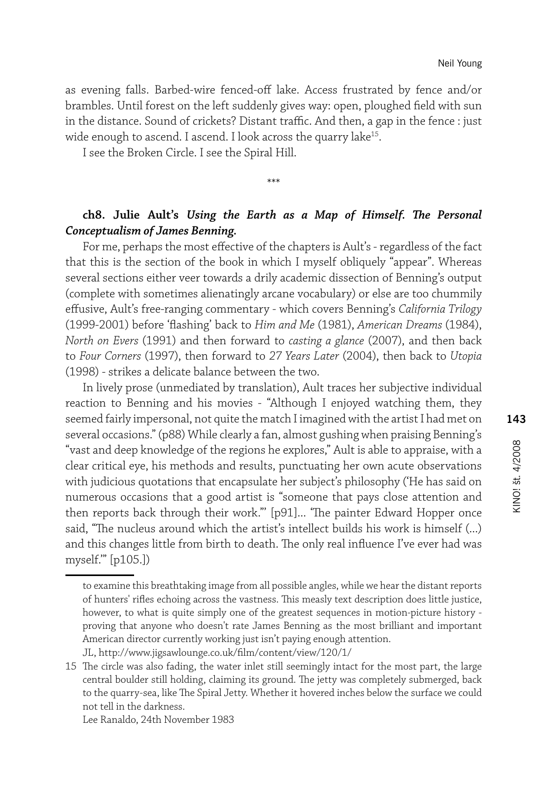as evening falls. Barbed-wire fenced-off lake. Access frustrated by fence and/or brambles. Until forest on the left suddenly gives way: open, ploughed field with sun in the distance. Sound of crickets? Distant traffic. And then, a gap in the fence : just wide enough to ascend. I ascend. I look across the quarry lake<sup>15</sup>.

I see the Broken Circle. I see the Spiral Hill.

# **ch8. Julie Ault's** *Using the Earth as a Map of Himself. The Personal Conceptualism of James Benning.*

\*\*\*

For me, perhaps the most effective of the chapters is Ault's - regardless of the fact that this is the section of the book in which I myself obliquely "appear". Whereas several sections either veer towards a drily academic dissection of Benning's output (complete with sometimes alienatingly arcane vocabulary) or else are too chummily effusive, Ault's free-ranging commentary - which covers Benning's *California Trilogy*  (1999-2001) before 'flashing' back to *Him and Me* (1981), *American Dreams* (1984), *North on Evers* (1991) and then forward to *casting a glance* (2007), and then back to *Four Corners* (1997), then forward to *27 Years Later* (2004), then back to *Utopia*  (1998) - strikes a delicate balance between the two.

In lively prose (unmediated by translation), Ault traces her subjective individual reaction to Benning and his movies - "Although I enjoyed watching them, they seemed fairly impersonal, not quite the match I imagined with the artist I had met on several occasions." (p88) While clearly a fan, almost gushing when praising Benning's "vast and deep knowledge of the regions he explores," Ault is able to appraise, with a clear critical eye, his methods and results, punctuating her own acute observations with judicious quotations that encapsulate her subject's philosophy ('He has said on numerous occasions that a good artist is "someone that pays close attention and then reports back through their work."' [p91]... 'The painter Edward Hopper once said, "The nucleus around which the artist's intellect builds his work is himself (...) and this changes little from birth to death. The only real influence I've ever had was myself.'" [p105.])

to examine this breathtaking image from all possible angles, while we hear the distant reports of hunters' rifles echoing across the vastness. This measly text description does little justice, however, to what is quite simply one of the greatest sequences in motion-picture history proving that anyone who doesn't rate James Benning as the most brilliant and important American director currently working just isn't paying enough attention.

JL, http://www.jigsawlounge.co.uk/film/content/view/120/1/

<sup>15</sup> The circle was also fading, the water inlet still seemingly intact for the most part, the large central boulder still holding, claiming its ground. The jetty was completely submerged, back to the quarry-sea, like The Spiral Jetty. Whether it hovered inches below the surface we could not tell in the darkness.

Lee Ranaldo, 24th November 1983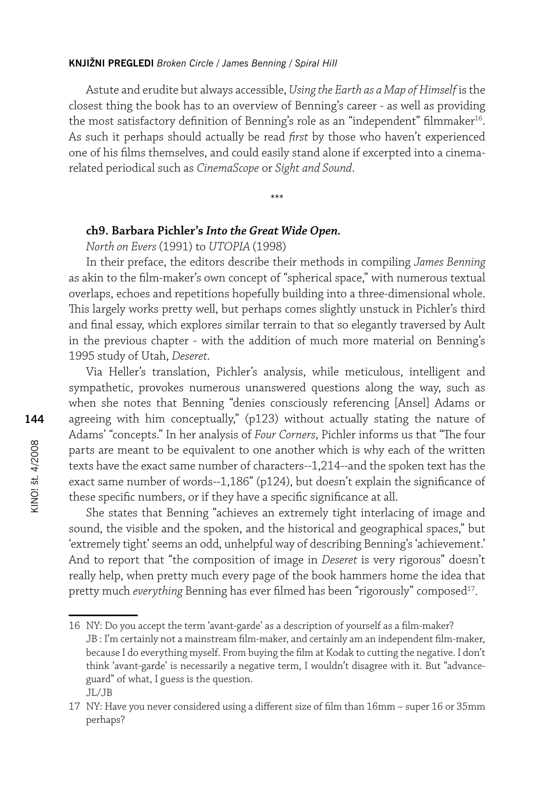Astute and erudite but always accessible, *Using the Earth as a Map of Himself* is the closest thing the book has to an overview of Benning's career - as well as providing the most satisfactory definition of Benning's role as an "independent" filmmaker<sup>16</sup>. As such it perhaps should actually be read *first* by those who haven't experienced one of his films themselves, and could easily stand alone if excerpted into a cinemarelated periodical such as *CinemaScope* or *Sight and Sound*.

\*\*\*

# **ch9. Barbara Pichler's** *Into the Great Wide Open.*

*North on Evers* (1991) to *UTOPIA* (1998)

In their preface, the editors describe their methods in compiling *James Benning*  as akin to the film-maker's own concept of "spherical space," with numerous textual overlaps, echoes and repetitions hopefully building into a three-dimensional whole. This largely works pretty well, but perhaps comes slightly unstuck in Pichler's third and final essay, which explores similar terrain to that so elegantly traversed by Ault in the previous chapter - with the addition of much more material on Benning's 1995 study of Utah, *Deseret.* 

Via Heller's translation, Pichler's analysis, while meticulous, intelligent and sympathetic, provokes numerous unanswered questions along the way, such as when she notes that Benning "denies consciously referencing [Ansel] Adams or agreeing with him conceptually," (p123) without actually stating the nature of Adams' "concepts." In her analysis of *Four Corners*, Pichler informs us that "The four parts are meant to be equivalent to one another which is why each of the written texts have the exact same number of characters--1,214--and the spoken text has the exact same number of words--1,186" (p124), but doesn't explain the significance of these specific numbers, or if they have a specific significance at all.

She states that Benning "achieves an extremely tight interlacing of image and sound, the visible and the spoken, and the historical and geographical spaces," but 'extremely tight' seems an odd, unhelpful way of describing Benning's 'achievement.' And to report that "the composition of image in *Deseret* is very rigorous" doesn't really help, when pretty much every page of the book hammers home the idea that pretty much *everything* Benning has ever filmed has been "rigorously" composed<sup>17</sup>.

16 NY: Do you accept the term 'avant-garde' as a description of yourself as a film-maker? JB : I'm certainly not a mainstream film-maker, and certainly am an independent film-maker, because I do everything myself. From buying the film at Kodak to cutting the negative. I don't think 'avant-garde' is necessarily a negative term, I wouldn't disagree with it. But "advanceguard" of what, I guess is the question. JL/JB

<sup>17</sup> NY: Have you never considered using a different size of film than 16mm – super 16 or 35mm perhaps?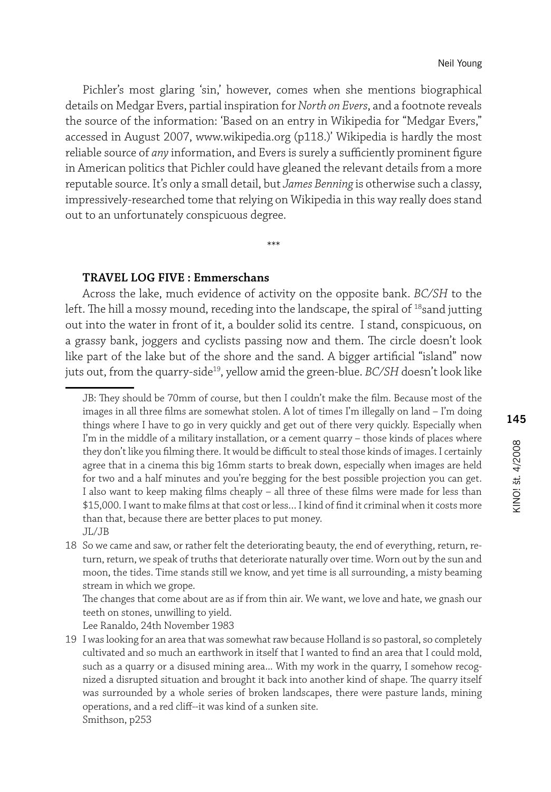Pichler's most glaring 'sin,' however, comes when she mentions biographical details on Medgar Evers, partial inspiration for *North on Evers*, and a footnote reveals the source of the information: 'Based on an entry in Wikipedia for "Medgar Evers," accessed in August 2007, www.wikipedia.org (p118.)' Wikipedia is hardly the most reliable source of *any* information, and Evers is surely a sufficiently prominent figure in American politics that Pichler could have gleaned the relevant details from a more reputable source. It's only a small detail, but *James Benning* is otherwise such a classy, impressively-researched tome that relying on Wikipedia in this way really does stand out to an unfortunately conspicuous degree.

\*\*\*

#### **TRAVEL LOG FIVE : Emmerschans**

Across the lake, much evidence of activity on the opposite bank. *BC/SH* to the left. The hill a mossy mound, receding into the landscape, the spiral of  $^{18}$ sand jutting out into the water in front of it, a boulder solid its centre. I stand, conspicuous, on a grassy bank, joggers and cyclists passing now and them. The circle doesn't look like part of the lake but of the shore and the sand. A bigger artificial "island" now juts out, from the quarry-side<sup>19</sup>, yellow amid the green-blue. *BC/SH* doesn't look like

The changes that come about are as if from thin air. We want, we love and hate, we gnash our teeth on stones, unwilling to yield.

Lee Ranaldo, 24th November 1983

JB: They should be 70mm of course, but then I couldn't make the film. Because most of the images in all three films are somewhat stolen. A lot of times I'm illegally on land – I'm doing things where I have to go in very quickly and get out of there very quickly. Especially when I'm in the middle of a military installation, or a cement quarry – those kinds of places where they don't like you filming there. It would be difficult to steal those kinds of images. I certainly agree that in a cinema this big 16mm starts to break down, especially when images are held for two and a half minutes and you're begging for the best possible projection you can get. I also want to keep making films cheaply – all three of these films were made for less than \$15,000. I want to make films at that cost or less… I kind of find it criminal when it costs more than that, because there are better places to put money. JL/JB

<sup>18</sup> So we came and saw, or rather felt the deteriorating beauty, the end of everything, return, return, return, we speak of truths that deteriorate naturally over time. Worn out by the sun and moon, the tides. Time stands still we know, and yet time is all surrounding, a misty beaming stream in which we grope.

<sup>19</sup> I was looking for an area that was somewhat raw because Holland is so pastoral, so completely cultivated and so much an earthwork in itself that I wanted to find an area that I could mold, such as a quarry or a disused mining area... With my work in the quarry, I somehow recognized a disrupted situation and brought it back into another kind of shape. The quarry itself was surrounded by a whole series of broken landscapes, there were pasture lands, mining operations, and a red cliff--it was kind of a sunken site. Smithson, p253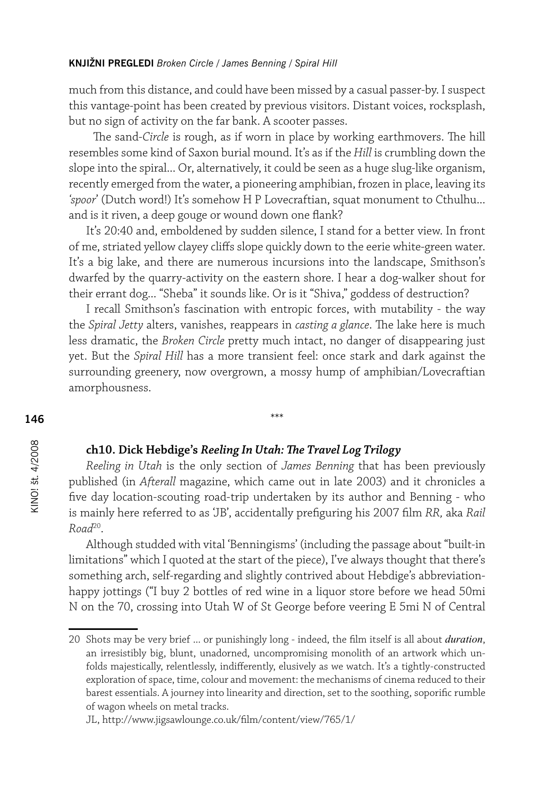much from this distance, and could have been missed by a casual passer-by. I suspect this vantage-point has been created by previous visitors. Distant voices, rocksplash, but no sign of activity on the far bank. A scooter passes.

 The sand-*Circle* is rough, as if worn in place by working earthmovers. The hill resembles some kind of Saxon burial mound. It's as if the *Hill* is crumbling down the slope into the spiral... Or, alternatively, it could be seen as a huge slug-like organism, recently emerged from the water, a pioneering amphibian, frozen in place, leaving its *'spoor*' (Dutch word!) It's somehow H P Lovecraftian, squat monument to Cthulhu... and is it riven, a deep gouge or wound down one flank?

It's 20:40 and, emboldened by sudden silence, I stand for a better view. In front of me, striated yellow clayey cliffs slope quickly down to the eerie white-green water. It's a big lake, and there are numerous incursions into the landscape, Smithson's dwarfed by the quarry-activity on the eastern shore. I hear a dog-walker shout for their errant dog... "Sheba" it sounds like. Or is it "Shiva," goddess of destruction?

I recall Smithson's fascination with entropic forces, with mutability - the way the *Spiral Jetty* alters, vanishes, reappears in *casting a glance*. The lake here is much less dramatic, the *Broken Circle* pretty much intact, no danger of disappearing just yet. But the *Spiral Hill* has a more transient feel: once stark and dark against the surrounding greenery, now overgrown, a mossy hump of amphibian/Lovecraftian amorphousness.

\*\*\*

#### **ch10. Dick Hebdige's** *Reeling In Utah: The Travel Log Trilogy*

*Reeling in Utah* is the only section of *James Benning* that has been previously published (in *Afterall* magazine, which came out in late 2003) and it chronicles a five day location-scouting road-trip undertaken by its author and Benning - who is mainly here referred to as 'JB', accidentally prefiguring his 2007 film *RR,* aka *Rail Road*<sup>20</sup>.

Although studded with vital 'Benningisms' (including the passage about "built-in limitations" which I quoted at the start of the piece), I've always thought that there's something arch, self-regarding and slightly contrived about Hebdige's abbreviationhappy jottings ("I buy 2 bottles of red wine in a liquor store before we head 50mi N on the 70, crossing into Utah W of St George before veering E 5mi N of Central

<sup>20</sup> Shots may be very brief ... or punishingly long - indeed, the film itself is all about *duration*, an irresistibly big, blunt, unadorned, uncompromising monolith of an artwork which unfolds majestically, relentlessly, indifferently, elusively as we watch. It's a tightly-constructed exploration of space, time, colour and movement: the mechanisms of cinema reduced to their barest essentials. A journey into linearity and direction, set to the soothing, soporific rumble of wagon wheels on metal tracks.

JL, http://www.jigsawlounge.co.uk/film/content/view/765/1/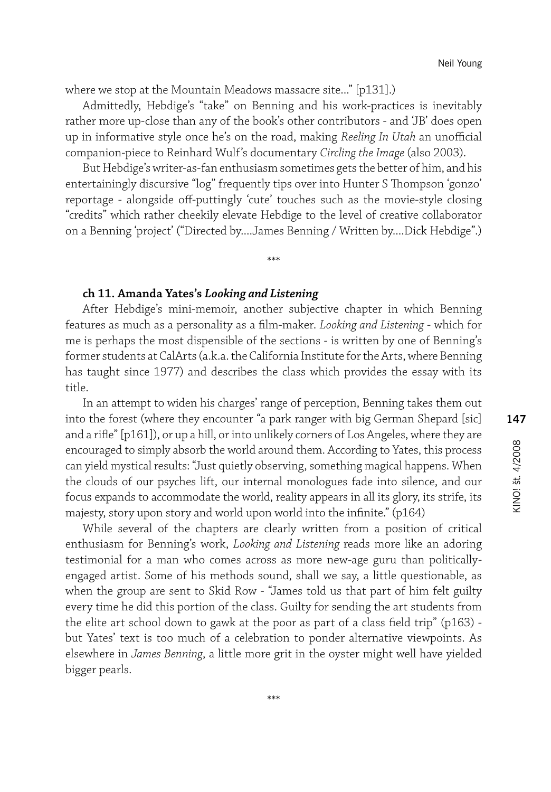where we stop at the Mountain Meadows massacre site..." [p131].)

Admittedly, Hebdige's "take" on Benning and his work-practices is inevitably rather more up-close than any of the book's other contributors - and 'JB' does open up in informative style once he's on the road, making *Reeling In Utah* an unofficial companion-piece to Reinhard Wulf's documentary *Circling the Image* (also 2003).

But Hebdige's writer-as-fan enthusiasm sometimes gets the better of him, and his entertainingly discursive "log" frequently tips over into Hunter S Thompson 'gonzo' reportage - alongside off-puttingly 'cute' touches such as the movie-style closing "credits" which rather cheekily elevate Hebdige to the level of creative collaborator on a Benning 'project' ("Directed by....James Benning / Written by....Dick Hebdige".)

\*\*\*

# **ch 11. Amanda Yates's** *Looking and Listening*

After Hebdige's mini-memoir, another subjective chapter in which Benning features as much as a personality as a film-maker. *Looking and Listening* - which for me is perhaps the most dispensible of the sections - is written by one of Benning's former students at CalArts (a.k.a. the California Institute for the Arts, where Benning has taught since 1977) and describes the class which provides the essay with its title.

In an attempt to widen his charges' range of perception, Benning takes them out into the forest (where they encounter "a park ranger with big German Shepard [sic] and a rifle" [p161]), or up a hill, or into unlikely corners of Los Angeles, where they are encouraged to simply absorb the world around them. According to Yates, this process can yield mystical results: "Just quietly observing, something magical happens. When the clouds of our psyches lift, our internal monologues fade into silence, and our focus expands to accommodate the world, reality appears in all its glory, its strife, its majesty, story upon story and world upon world into the infinite." (p164)

While several of the chapters are clearly written from a position of critical enthusiasm for Benning's work, *Looking and Listening* reads more like an adoring testimonial for a man who comes across as more new-age guru than politicallyengaged artist. Some of his methods sound, shall we say, a little questionable, as when the group are sent to Skid Row - "James told us that part of him felt guilty every time he did this portion of the class. Guilty for sending the art students from the elite art school down to gawk at the poor as part of a class field trip" (p163) but Yates' text is too much of a celebration to ponder alternative viewpoints. As elsewhere in *James Benning*, a little more grit in the oyster might well have yielded bigger pearls.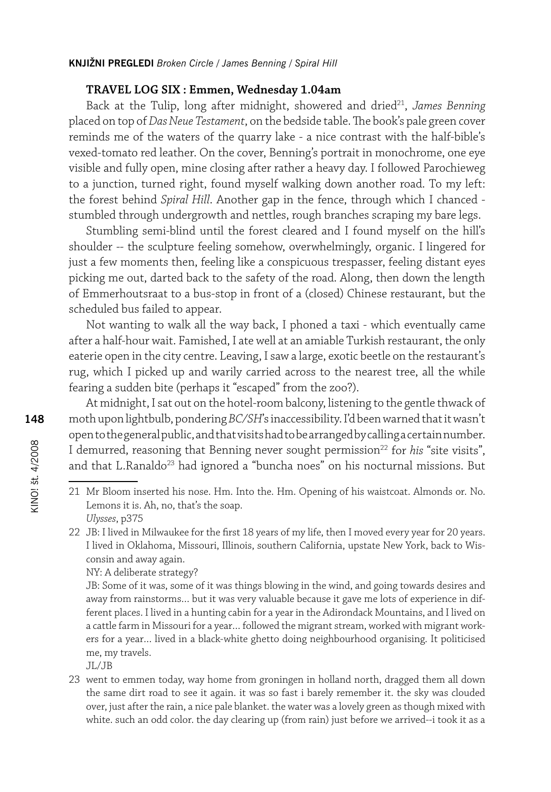#### **TRAVEL LOG SIX : Emmen, Wednesday 1.04am**

Back at the Tulip, long after midnight, showered and dried<sup>21</sup>, *James Benning* placed on top of *Das Neue Testament*, on the bedside table. The book's pale green cover reminds me of the waters of the quarry lake - a nice contrast with the half-bible's vexed-tomato red leather. On the cover, Benning's portrait in monochrome, one eye visible and fully open, mine closing after rather a heavy day. I followed Parochieweg to a junction, turned right, found myself walking down another road. To my left: the forest behind *Spiral Hill*. Another gap in the fence, through which I chanced stumbled through undergrowth and nettles, rough branches scraping my bare legs.

Stumbling semi-blind until the forest cleared and I found myself on the hill's shoulder -- the sculpture feeling somehow, overwhelmingly, organic. I lingered for just a few moments then, feeling like a conspicuous trespasser, feeling distant eyes picking me out, darted back to the safety of the road. Along, then down the length of Emmerhoutsraat to a bus-stop in front of a (closed) Chinese restaurant, but the scheduled bus failed to appear.

Not wanting to walk all the way back, I phoned a taxi - which eventually came after a half-hour wait. Famished, I ate well at an amiable Turkish restaurant, the only eaterie open in the city centre. Leaving, I saw a large, exotic beetle on the restaurant's rug, which I picked up and warily carried across to the nearest tree, all the while fearing a sudden bite (perhaps it "escaped" from the zoo?).

At midnight, I sat out on the hotel-room balcony, listening to the gentle thwack of moth upon lightbulb, pondering *BC/SH*'s inaccessibility. I'd been warned that it wasn't open to the general public, and that visits had to be arranged by calling a certain number. I demurred, reasoning that Benning never sought permission<sup>22</sup> for *his* "site visits", and that L.Ranaldo<sup>23</sup> had ignored a "buncha noes" on his nocturnal missions. But

- 21 Mr Bloom inserted his nose. Hm. Into the. Hm. Opening of his waistcoat. Almonds or. No. Lemons it is. Ah, no, that's the soap. *Ulysses*, p375
- 22 JB: I lived in Milwaukee for the first 18 years of my life, then I moved every year for 20 years. I lived in Oklahoma, Missouri, Illinois, southern California, upstate New York, back to Wisconsin and away again.

NY: A deliberate strategy?

JB: Some of it was, some of it was things blowing in the wind, and going towards desires and away from rainstorms… but it was very valuable because it gave me lots of experience in different places. I lived in a hunting cabin for a year in the Adirondack Mountains, and I lived on a cattle farm in Missouri for a year… followed the migrant stream, worked with migrant workers for a year… lived in a black-white ghetto doing neighbourhood organising. It politicised me, my travels.

JL/JB

23 went to emmen today, way home from groningen in holland north, dragged them all down the same dirt road to see it again. it was so fast i barely remember it. the sky was clouded over, just after the rain, a nice pale blanket. the water was a lovely green as though mixed with white. such an odd color. the day clearing up (from rain) just before we arrived--i took it as a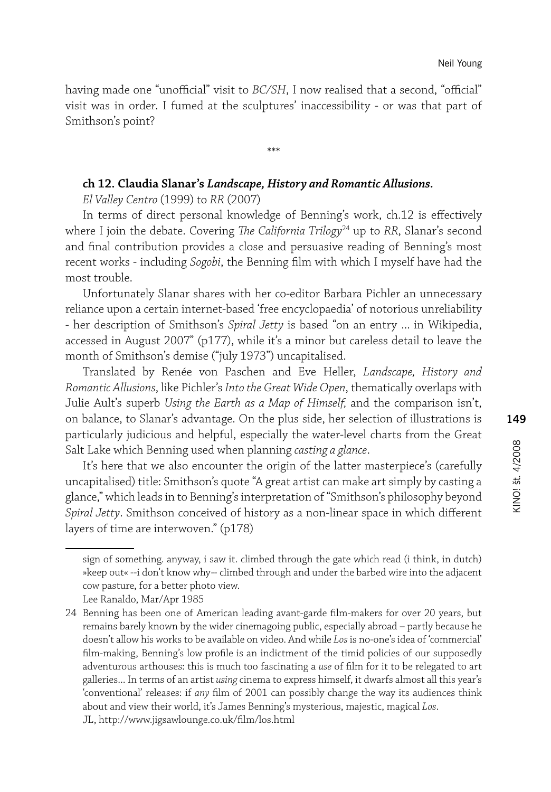having made one "unofficial" visit to *BC/SH*, I now realised that a second, "official" visit was in order. I fumed at the sculptures' inaccessibility - or was that part of Smithson's point?

\*\*\*

#### **ch 12. Claudia Slanar's** *Landscape, History and Romantic Allusions.*

*El Valley Centro* (1999) to *RR* (2007)

In terms of direct personal knowledge of Benning's work, ch.12 is effectively where I join the debate. Covering *The California Trilogy*<sup>24</sup> up to *RR*, Slanar's second and final contribution provides a close and persuasive reading of Benning's most recent works - including *Sogobi*, the Benning film with which I myself have had the most trouble.

Unfortunately Slanar shares with her co-editor Barbara Pichler an unnecessary reliance upon a certain internet-based 'free encyclopaedia' of notorious unreliability - her description of Smithson's *Spiral Jetty* is based "on an entry ... in Wikipedia, accessed in August 2007" (p177), while it's a minor but careless detail to leave the month of Smithson's demise ("july 1973") uncapitalised.

Translated by Renée von Paschen and Eve Heller, *Landscape, History and Romantic Allusions*, like Pichler's *Into the Great Wide Open*, thematically overlaps with Julie Ault's superb *Using the Earth as a Map of Himself,* and the comparison isn't, on balance, to Slanar's advantage. On the plus side, her selection of illustrations is particularly judicious and helpful, especially the water-level charts from the Great Salt Lake which Benning used when planning *casting a glance*.

It's here that we also encounter the origin of the latter masterpiece's (carefully uncapitalised) title: Smithson's quote "A great artist can make art simply by casting a glance," which leads in to Benning's interpretation of "Smithson's philosophy beyond *Spiral Jetty*. Smithson conceived of history as a non-linear space in which different layers of time are interwoven." (p178)

sign of something. anyway, i saw it. climbed through the gate which read (i think, in dutch) »keep out« --i don't know why-- climbed through and under the barbed wire into the adjacent cow pasture, for a better photo view.

Lee Ranaldo, Mar/Apr 1985

<sup>24</sup> Benning has been one of American leading avant-garde film-makers for over 20 years, but remains barely known by the wider cinemagoing public, especially abroad – partly because he doesn't allow his works to be available on video. And while *Los* is no-one's idea of 'commercial' film-making, Benning's low profile is an indictment of the timid policies of our supposedly adventurous arthouses: this is much too fascinating a *use* of film for it to be relegated to art galleries... In terms of an artist *using* cinema to express himself, it dwarfs almost all this year's 'conventional' releases: if *any* film of 2001 can possibly change the way its audiences think about and view their world, it's James Benning's mysterious, majestic, magical *Los*. JL, http://www.jigsawlounge.co.uk/film/los.html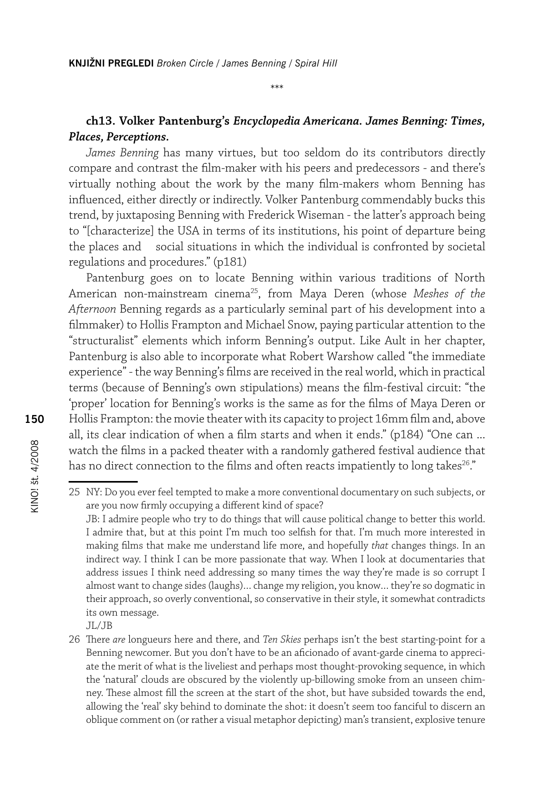# **ch13. Volker Pantenburg's** *Encyclopedia Americana. James Benning: Times, Places, Perceptions.*

*James Benning* has many virtues, but too seldom do its contributors directly compare and contrast the film-maker with his peers and predecessors - and there's virtually nothing about the work by the many film-makers whom Benning has influenced, either directly or indirectly. Volker Pantenburg commendably bucks this trend, by juxtaposing Benning with Frederick Wiseman - the latter's approach being to "[characterize] the USA in terms of its institutions, his point of departure being the places and social situations in which the individual is confronted by societal regulations and procedures." (p181)

Pantenburg goes on to locate Benning within various traditions of North American non-mainstream cinema25, from Maya Deren (whose *Meshes of the Afternoon* Benning regards as a particularly seminal part of his development into a filmmaker) to Hollis Frampton and Michael Snow, paying particular attention to the "structuralist" elements which inform Benning's output. Like Ault in her chapter, Pantenburg is also able to incorporate what Robert Warshow called "the immediate experience" - the way Benning's films are received in the real world, which in practical terms (because of Benning's own stipulations) means the film-festival circuit: "the 'proper' location for Benning's works is the same as for the films of Maya Deren or Hollis Frampton: the movie theater with its capacity to project 16mm film and, above all, its clear indication of when a film starts and when it ends." (p184) "One can ... watch the films in a packed theater with a randomly gathered festival audience that has no direct connection to the films and often reacts impatiently to long takes<sup>26</sup>."

address issues I think need addressing so many times the way they're made is so corrupt I almost want to change sides (laughs)… change my religion, you know… they're so dogmatic in their approach, so overly conventional, so conservative in their style, it somewhat contradicts its own message.

26 There *are* longueurs here and there, and *Ten Skies* perhaps isn't the best starting-point for a Benning newcomer. But you don't have to be an aficionado of avant-garde cinema to appreciate the merit of what is the liveliest and perhaps most thought-provoking sequence, in which the 'natural' clouds are obscured by the violently up-billowing smoke from an unseen chimney. These almost fill the screen at the start of the shot, but have subsided towards the end, allowing the 'real' sky behind to dominate the shot: it doesn't seem too fanciful to discern an oblique comment on (or rather a visual metaphor depicting) man's transient, explosive tenure

<sup>25</sup> NY: Do you ever feel tempted to make a more conventional documentary on such subjects, or are you now firmly occupying a different kind of space? JB: I admire people who try to do things that will cause political change to better this world. I admire that, but at this point I'm much too selfish for that. I'm much more interested in making films that make me understand life more, and hopefully *that* changes things. In an indirect way. I think I can be more passionate that way. When I look at documentaries that

JL/JB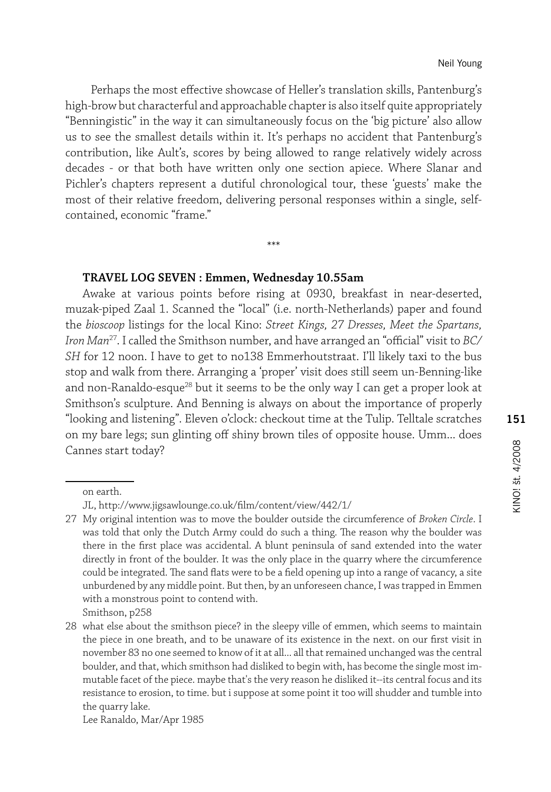Perhaps the most effective showcase of Heller's translation skills, Pantenburg's high-brow but characterful and approachable chapter is also itself quite appropriately "Benningistic" in the way it can simultaneously focus on the 'big picture' also allow us to see the smallest details within it. It's perhaps no accident that Pantenburg's contribution, like Ault's, scores by being allowed to range relatively widely across decades - or that both have written only one section apiece. Where Slanar and Pichler's chapters represent a dutiful chronological tour, these 'guests' make the most of their relative freedom, delivering personal responses within a single, selfcontained, economic "frame."

\*\*\*

#### **TRAVEL LOG SEVEN : Emmen, Wednesday 10.55am**

Awake at various points before rising at 0930, breakfast in near-deserted, muzak-piped Zaal 1. Scanned the "local" (i.e. north-Netherlands) paper and found the *bioscoop* listings for the local Kino: *Street Kings, 27 Dresses, Meet the Spartans, Iron Man*27. I called the Smithson number, and have arranged an "official" visit to *BC/ SH* for 12 noon. I have to get to no138 Emmerhoutstraat. I'll likely taxi to the bus stop and walk from there. Arranging a 'proper' visit does still seem un-Benning-like and non-Ranaldo-esque<sup>28</sup> but it seems to be the only way I can get a proper look at Smithson's sculpture. And Benning is always on about the importance of properly "looking and listening". Eleven o'clock: checkout time at the Tulip. Telltale scratches on my bare legs; sun glinting off shiny brown tiles of opposite house. Umm... does Cannes start today?

Smithson, p258

Lee Ranaldo, Mar/Apr 1985

on earth.

JL, http://www.jigsawlounge.co.uk/film/content/view/442/1/

<sup>27</sup> My original intention was to move the boulder outside the circumference of *Broken Circle*. I was told that only the Dutch Army could do such a thing. The reason why the boulder was there in the first place was accidental. A blunt peninsula of sand extended into the water directly in front of the boulder. It was the only place in the quarry where the circumference could be integrated. The sand flats were to be a field opening up into a range of vacancy, a site unburdened by any middle point. But then, by an unforeseen chance, I was trapped in Emmen with a monstrous point to contend with.

<sup>28</sup> what else about the smithson piece? in the sleepy ville of emmen, which seems to maintain the piece in one breath, and to be unaware of its existence in the next. on our first visit in november 83 no one seemed to know of it at all... all that remained unchanged was the central boulder, and that, which smithson had disliked to begin with, has become the single most immutable facet of the piece. maybe that's the very reason he disliked it--its central focus and its resistance to erosion, to time. but i suppose at some point it too will shudder and tumble into the quarry lake.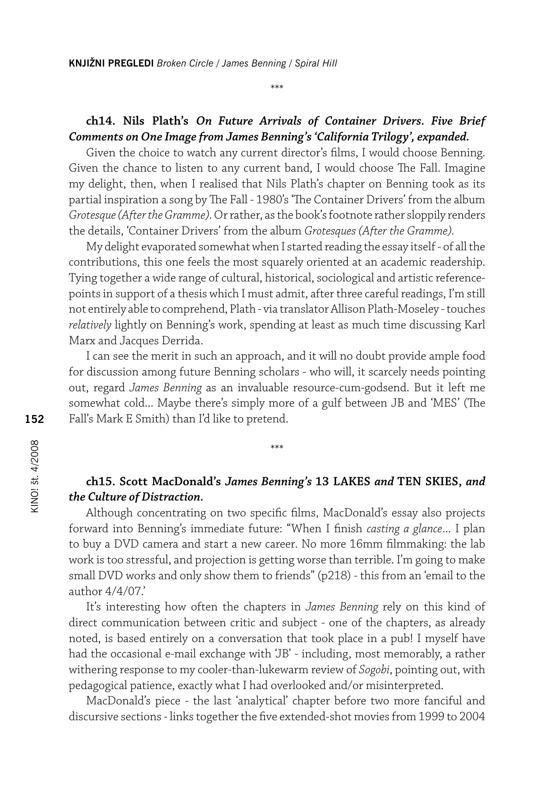# **ch14. Nils Plath's** *On Future Arrivals of Container Drivers. Five Brief Comments on One Image from James Benning's 'California Trilogy', expanded.*

\*\*\*

Given the choice to watch any current director's films, I would choose Benning. Given the chance to listen to any current band, I would choose The Fall. Imagine my delight, then, when I realised that Nils Plath's chapter on Benning took as its partial inspiration a song by The Fall - 1980's 'The Container Drivers' from the album *Grotesque (After the Gramme).* Or rather, as the book's footnote rather sloppily renders the details, 'Container Drivers' from the album *Grotesques (After the Gramme).* 

My delight evaporated somewhat when I started reading the essay itself - of all the contributions, this one feels the most squarely oriented at an academic readership. Tying together a wide range of cultural, historical, sociological and artistic referencepoints in support of a thesis which I must admit, after three careful readings, I'm still not entirely able to comprehend, Plath - via translator Allison Plath-Moseley - touches *relatively* lightly on Benning's work, spending at least as much time discussing Karl Marx and Jacques Derrida.

I can see the merit in such an approach, and it will no doubt provide ample food for discussion among future Benning scholars - who will, it scarcely needs pointing out, regard *James Benning* as an invaluable resource-cum-godsend. But it left me somewhat cold... Maybe there's simply more of a gulf between JB and 'MES' (The Fall's Mark E Smith) than I'd like to pretend.

# **ch15. Scott MacDonald's** *James Benning's* **13 LAKES** *and* **TEN SKIES,** *and the Culture of Distraction.*

\*\*\*

Although concentrating on two specific films, MacDonald's essay also projects forward into Benning's immediate future: "When I finish *casting a glance*... I plan to buy a DVD camera and start a new career. No more 16mm filmmaking: the lab work is too stressful, and projection is getting worse than terrible. I'm going to make small DVD works and only show them to friends" (p218) - this from an 'email to the author 4/4/07.'

It's interesting how often the chapters in *James Benning* rely on this kind of direct communication between critic and subject - one of the chapters, as already noted, is based entirely on a conversation that took place in a pub! I myself have had the occasional e-mail exchange with 'JB' - including, most memorably, a rather withering response to my cooler-than-lukewarm review of *Sogobi*, pointing out, with pedagogical patience, exactly what I had overlooked and/or misinterpreted.

MacDonald's piece - the last 'analytical' chapter before two more fanciful and discursive sections - links together the five extended-shot movies from 1999 to 2004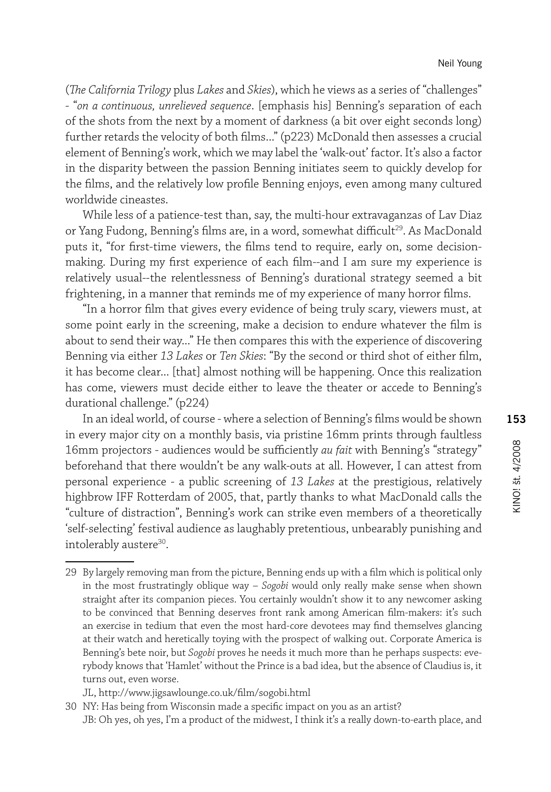(*The California Trilogy* plus *Lakes* and *Skies*), which he views as a series of "challenges" - "*on a continuous, unrelieved sequence*. [emphasis his] Benning's separation of each of the shots from the next by a moment of darkness (a bit over eight seconds long) further retards the velocity of both films..." (p223) McDonald then assesses a crucial element of Benning's work, which we may label the 'walk-out' factor. It's also a factor in the disparity between the passion Benning initiates seem to quickly develop for the films, and the relatively low profile Benning enjoys, even among many cultured worldwide cineastes.

While less of a patience-test than, say, the multi-hour extravaganzas of Lav Diaz or Yang Fudong, Benning's films are, in a word, somewhat difficult<sup>29</sup>. As MacDonald puts it, "for first-time viewers, the films tend to require, early on, some decisionmaking. During my first experience of each film--and I am sure my experience is relatively usual--the relentlessness of Benning's durational strategy seemed a bit frightening, in a manner that reminds me of my experience of many horror films.

"In a horror film that gives every evidence of being truly scary, viewers must, at some point early in the screening, make a decision to endure whatever the film is about to send their way..." He then compares this with the experience of discovering Benning via either *13 Lakes* or *Ten Skies*: "By the second or third shot of either film, it has become clear... [that] almost nothing will be happening. Once this realization has come, viewers must decide either to leave the theater or accede to Benning's durational challenge." (p224)

In an ideal world, of course - where a selection of Benning's films would be shown in every major city on a monthly basis, via pristine 16mm prints through faultless 16mm projectors - audiences would be sufficiently *au fait* with Benning's "strategy" beforehand that there wouldn't be any walk-outs at all. However, I can attest from personal experience - a public screening of *13 Lakes* at the prestigious, relatively highbrow IFF Rotterdam of 2005, that, partly thanks to what MacDonald calls the "culture of distraction", Benning's work can strike even members of a theoretically 'self-selecting' festival audience as laughably pretentious, unbearably punishing and intolerably austere<sup>30</sup>.

<sup>29</sup> By largely removing man from the picture, Benning ends up with a film which is political only in the most frustratingly oblique way – *Sogobi* would only really make sense when shown straight after its companion pieces. You certainly wouldn't show it to any newcomer asking to be convinced that Benning deserves front rank among American film-makers: it's such an exercise in tedium that even the most hard-core devotees may find themselves glancing at their watch and heretically toying with the prospect of walking out. Corporate America is Benning's bete noir, but *Sogobi* proves he needs it much more than he perhaps suspects: everybody knows that 'Hamlet' without the Prince is a bad idea, but the absence of Claudius is, it turns out, even worse.

JL, http://www.jigsawlounge.co.uk/film/sogobi.html

<sup>30</sup> NY: Has being from Wisconsin made a specific impact on you as an artist?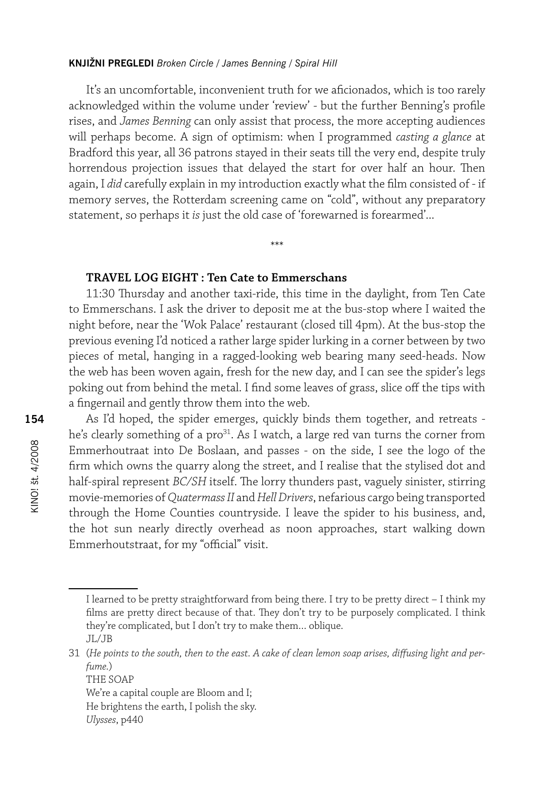It's an uncomfortable, inconvenient truth for we aficionados, which is too rarely acknowledged within the volume under 'review' - but the further Benning's profile rises, and *James Benning* can only assist that process, the more accepting audiences will perhaps become. A sign of optimism: when I programmed *casting a glance* at Bradford this year, all 36 patrons stayed in their seats till the very end, despite truly horrendous projection issues that delayed the start for over half an hour. Then again, I *did* carefully explain in my introduction exactly what the film consisted of - if memory serves, the Rotterdam screening came on "cold", without any preparatory statement, so perhaps it *is* just the old case of 'forewarned is forearmed'...

\*\*\*

# **TRAVEL LOG EIGHT : Ten Cate to Emmerschans**

11:30 Thursday and another taxi-ride, this time in the daylight, from Ten Cate to Emmerschans. I ask the driver to deposit me at the bus-stop where I waited the night before, near the 'Wok Palace' restaurant (closed till 4pm). At the bus-stop the previous evening I'd noticed a rather large spider lurking in a corner between by two pieces of metal, hanging in a ragged-looking web bearing many seed-heads. Now the web has been woven again, fresh for the new day, and I can see the spider's legs poking out from behind the metal. I find some leaves of grass, slice off the tips with a fingernail and gently throw them into the web.

As I'd hoped, the spider emerges, quickly binds them together, and retreats he's clearly something of a pro<sup>31</sup>. As I watch, a large red van turns the corner from Emmerhoutraat into De Boslaan, and passes - on the side, I see the logo of the firm which owns the quarry along the street, and I realise that the stylised dot and half-spiral represent *BC/SH* itself. The lorry thunders past, vaguely sinister, stirring movie-memories of *Quatermass II* and *Hell Drivers*, nefarious cargo being transported through the Home Counties countryside. I leave the spider to his business, and, the hot sun nearly directly overhead as noon approaches, start walking down Emmerhoutstraat, for my "official" visit.

I learned to be pretty straightforward from being there. I try to be pretty direct – I think my films are pretty direct because of that. They don't try to be purposely complicated. I think they're complicated, but I don't try to make them… oblique. JL/JB

<sup>31</sup> (*He points to the south, then to the east. A cake of clean lemon soap arises, diffusing light and perfume.*)

THE SOAP We're a capital couple are Bloom and I; He brightens the earth, I polish the sky. *Ulysses*, p440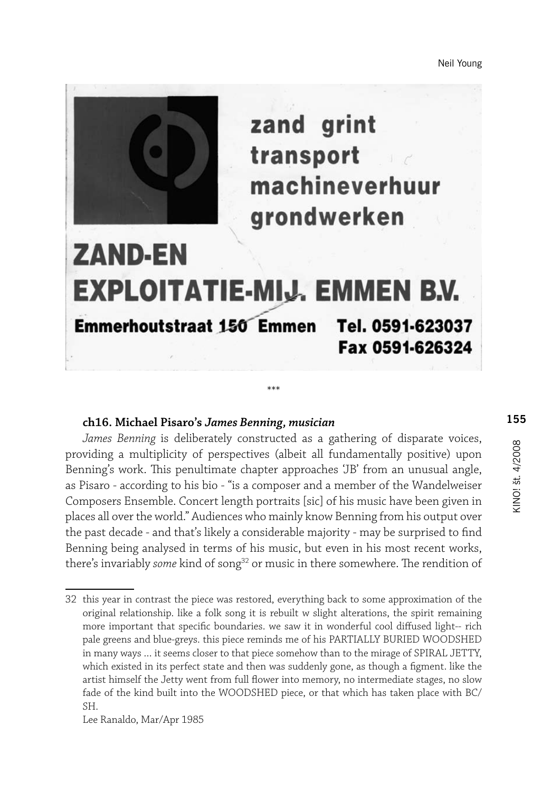Neil Young



zand grint transport machineverhuur grondwerken

# **ZAND-EN EXPLOITATIE-MIJ. EMMEN B.V.** Emmerhoutstraat 150 Emmen Tel. 0591-623037 Fax 0591-626324

\*\*\*

# **ch16. Michael Pisaro's** *James Benning, musician*

*James Benning* is deliberately constructed as a gathering of disparate voices, providing a multiplicity of perspectives (albeit all fundamentally positive) upon Benning's work. This penultimate chapter approaches 'JB' from an unusual angle, as Pisaro - according to his bio - "is a composer and a member of the Wandelweiser Composers Ensemble. Concert length portraits [sic] of his music have been given in places all over the world." Audiences who mainly know Benning from his output over the past decade - and that's likely a considerable majority - may be surprised to find Benning being analysed in terms of his music, but even in his most recent works, there's invariably *some* kind of song<sup>32</sup> or music in there somewhere. The rendition of

<sup>32</sup> this year in contrast the piece was restored, everything back to some approximation of the original relationship. like a folk song it is rebuilt w slight alterations, the spirit remaining more important that specific boundaries. we saw it in wonderful cool diffused light-- rich pale greens and blue-greys. this piece reminds me of his PARTIALLY BURIED WOODSHED in many ways … it seems closer to that piece somehow than to the mirage of SPIRAL JETTY, which existed in its perfect state and then was suddenly gone, as though a figment. like the artist himself the Jetty went from full flower into memory, no intermediate stages, no slow fade of the kind built into the WOODSHED piece, or that which has taken place with BC/ SH.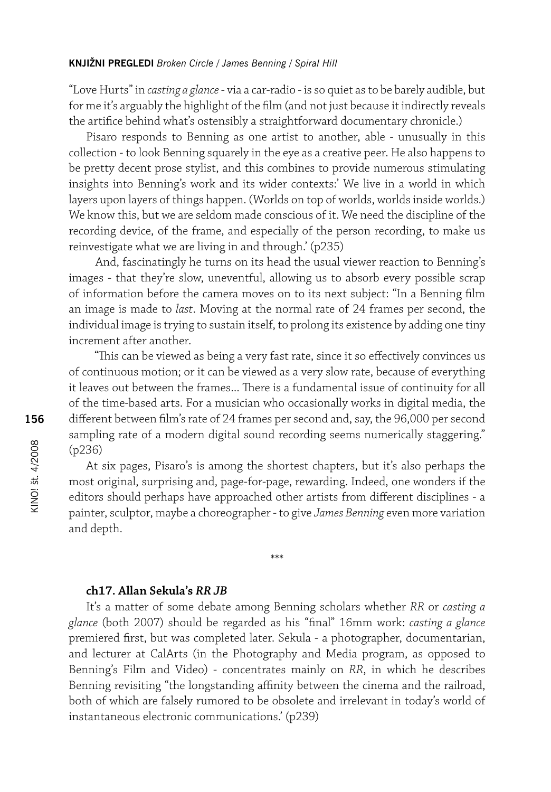"Love Hurts" in *casting a glance* - via a car-radio - is so quiet as to be barely audible, but for me it's arguably the highlight of the film (and not just because it indirectly reveals the artifice behind what's ostensibly a straightforward documentary chronicle.)

Pisaro responds to Benning as one artist to another, able - unusually in this collection - to look Benning squarely in the eye as a creative peer. He also happens to be pretty decent prose stylist, and this combines to provide numerous stimulating insights into Benning's work and its wider contexts:' We live in a world in which layers upon layers of things happen. (Worlds on top of worlds, worlds inside worlds.) We know this, but we are seldom made conscious of it. We need the discipline of the recording device, of the frame, and especially of the person recording, to make us reinvestigate what we are living in and through.' (p235)

 And, fascinatingly he turns on its head the usual viewer reaction to Benning's images - that they're slow, uneventful, allowing us to absorb every possible scrap of information before the camera moves on to its next subject: "In a Benning film an image is made to *last*. Moving at the normal rate of 24 frames per second, the individual image is trying to sustain itself, to prolong its existence by adding one tiny increment after another.

 "This can be viewed as being a very fast rate, since it so effectively convinces us of continuous motion; or it can be viewed as a very slow rate, because of everything it leaves out between the frames... There is a fundamental issue of continuity for all of the time-based arts. For a musician who occasionally works in digital media, the different between film's rate of 24 frames per second and, say, the 96,000 per second sampling rate of a modern digital sound recording seems numerically staggering." (p236)

At six pages, Pisaro's is among the shortest chapters, but it's also perhaps the most original, surprising and, page-for-page, rewarding. Indeed, one wonders if the editors should perhaps have approached other artists from different disciplines - a painter, sculptor, maybe a choreographer - to give *James Benning* even more variation and depth.

\*\*\*

#### **ch17. Allan Sekula's** *RR JB*

It's a matter of some debate among Benning scholars whether *RR* or *casting a glance* (both 2007) should be regarded as his "final" 16mm work: *casting a glance*  premiered first, but was completed later. Sekula - a photographer, documentarian, and lecturer at CalArts (in the Photography and Media program, as opposed to Benning's Film and Video) - concentrates mainly on *RR*, in which he describes Benning revisiting "the longstanding affinity between the cinema and the railroad, both of which are falsely rumored to be obsolete and irrelevant in today's world of instantaneous electronic communications.' (p239)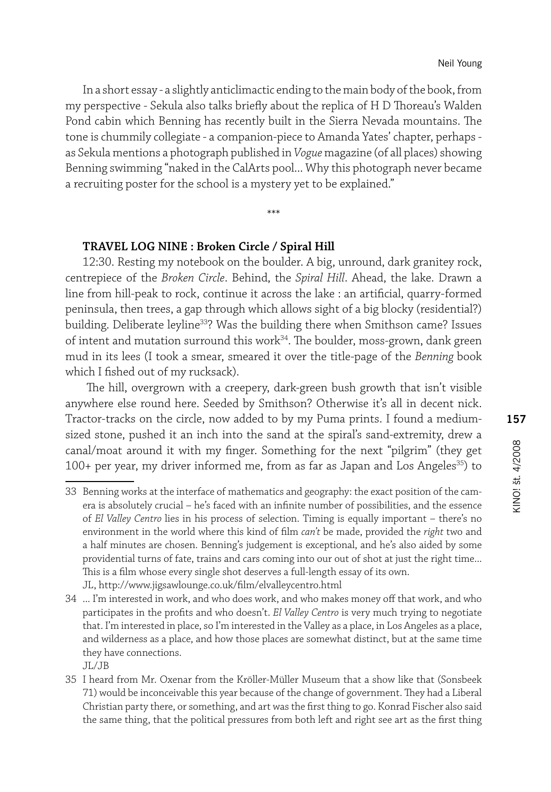In a short essay - a slightly anticlimactic ending to the main body of the book, from my perspective - Sekula also talks briefly about the replica of H D Thoreau's Walden Pond cabin which Benning has recently built in the Sierra Nevada mountains. The tone is chummily collegiate - a companion-piece to Amanda Yates' chapter, perhaps as Sekula mentions a photograph published in *Vogue* magazine (of all places) showing Benning swimming "naked in the CalArts pool... Why this photograph never became a recruiting poster for the school is a mystery yet to be explained."

\*\*\*

#### **TRAVEL LOG NINE : Broken Circle / Spiral Hill**

12:30. Resting my notebook on the boulder. A big, unround, dark granitey rock, centrepiece of the *Broken Circle*. Behind, the *Spiral Hill*. Ahead, the lake. Drawn a line from hill-peak to rock, continue it across the lake : an artificial, quarry-formed peninsula, then trees, a gap through which allows sight of a big blocky (residential?) building. Deliberate leyline<sup>33</sup>? Was the building there when Smithson came? Issues of intent and mutation surround this work<sup>34</sup>. The boulder, moss-grown, dank green mud in its lees (I took a smear, smeared it over the title-page of the *Benning* book which I fished out of my rucksack).

 The hill, overgrown with a creepery, dark-green bush growth that isn't visible anywhere else round here. Seeded by Smithson? Otherwise it's all in decent nick. Tractor-tracks on the circle, now added to by my Puma prints. I found a mediumsized stone, pushed it an inch into the sand at the spiral's sand-extremity, drew a canal/moat around it with my finger. Something for the next "pilgrim" (they get 100+ per year, my driver informed me, from as far as Japan and Los Angeles<sup>35</sup>) to

<sup>33</sup> Benning works at the interface of mathematics and geography: the exact position of the camera is absolutely crucial – he's faced with an infinite number of possibilities, and the essence of *El Valley Centro* lies in his process of selection. Timing is equally important – there's no environment in the world where this kind of film *can't* be made, provided the *right* two and a half minutes are chosen. Benning's judgement is exceptional, and he's also aided by some providential turns of fate, trains and cars coming into our out of shot at just the right time... This is a film whose every single shot deserves a full-length essay of its own.

JL, http://www.jigsawlounge.co.uk/film/elvalleycentro.html

<sup>34</sup> ... I'm interested in work, and who does work, and who makes money off that work, and who participates in the profits and who doesn't. *El Valley Centro* is very much trying to negotiate that. I'm interested in place, so I'm interested in the Valley as a place, in Los Angeles as a place, and wilderness as a place, and how those places are somewhat distinct, but at the same time they have connections.

JL/JB

<sup>35</sup> I heard from Mr. Oxenar from the Kröller-Müller Museum that a show like that (Sonsbeek 71) would be inconceivable this year because of the change of government. They had a Liberal Christian party there, or something, and art was the first thing to go. Konrad Fischer also said the same thing, that the political pressures from both left and right see art as the first thing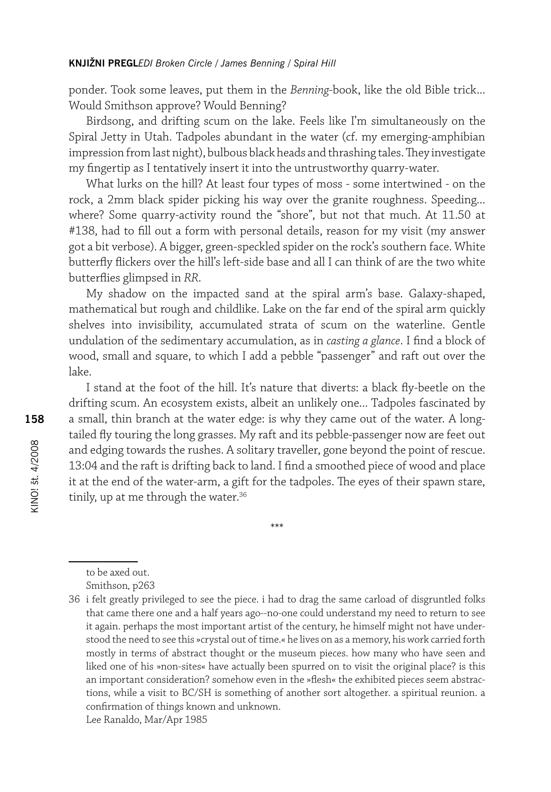ponder. Took some leaves, put them in the *Benning*-book, like the old Bible trick... Would Smithson approve? Would Benning?

Birdsong, and drifting scum on the lake. Feels like I'm simultaneously on the Spiral Jetty in Utah. Tadpoles abundant in the water (cf. my emerging-amphibian impression from last night), bulbous black heads and thrashing tales. They investigate my fingertip as I tentatively insert it into the untrustworthy quarry-water.

What lurks on the hill? At least four types of moss - some intertwined - on the rock, a 2mm black spider picking his way over the granite roughness. Speeding... where? Some quarry-activity round the "shore", but not that much. At 11.50 at #138, had to fill out a form with personal details, reason for my visit (my answer got a bit verbose). A bigger, green-speckled spider on the rock's southern face. White butterfly flickers over the hill's left-side base and all I can think of are the two white butterflies glimpsed in *RR*.

My shadow on the impacted sand at the spiral arm's base. Galaxy-shaped, mathematical but rough and childlike. Lake on the far end of the spiral arm quickly shelves into invisibility, accumulated strata of scum on the waterline. Gentle undulation of the sedimentary accumulation, as in *casting a glance*. I find a block of wood, small and square, to which I add a pebble "passenger" and raft out over the lake.

I stand at the foot of the hill. It's nature that diverts: a black fly-beetle on the drifting scum. An ecosystem exists, albeit an unlikely one... Tadpoles fascinated by a small, thin branch at the water edge: is why they came out of the water. A longtailed fly touring the long grasses. My raft and its pebble-passenger now are feet out and edging towards the rushes. A solitary traveller, gone beyond the point of rescue. 13:04 and the raft is drifting back to land. I find a smoothed piece of wood and place it at the end of the water-arm, a gift for the tadpoles. The eyes of their spawn stare, tinily, up at me through the water.<sup>36</sup>

\*\*\*

to be axed out.

Smithson*,* p263

<sup>36</sup> i felt greatly privileged to see the piece. i had to drag the same carload of disgruntled folks that came there one and a half years ago--no-one could understand my need to return to see it again. perhaps the most important artist of the century, he himself might not have understood the need to see this »crystal out of time.« he lives on as a memory, his work carried forth mostly in terms of abstract thought or the museum pieces. how many who have seen and liked one of his »non-sites« have actually been spurred on to visit the original place? is this an important consideration? somehow even in the »flesh« the exhibited pieces seem abstractions, while a visit to BC/SH is something of another sort altogether. a spiritual reunion. a confirmation of things known and unknown. Lee Ranaldo, Mar/Apr 1985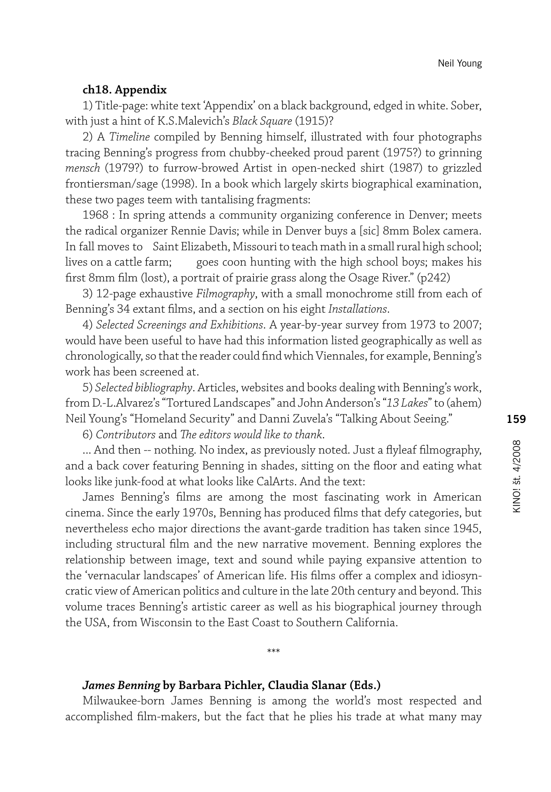#### **ch18. Appendix**

1) Title-page: white text 'Appendix' on a black background, edged in white. Sober, with just a hint of K.S.Malevich's *Black Square* (1915)?

2) A *Timeline* compiled by Benning himself, illustrated with four photographs tracing Benning's progress from chubby-cheeked proud parent (1975?) to grinning *mensch* (1979?) to furrow-browed Artist in open-necked shirt (1987) to grizzled frontiersman/sage (1998). In a book which largely skirts biographical examination, these two pages teem with tantalising fragments:

1968 : In spring attends a community organizing conference in Denver; meets the radical organizer Rennie Davis; while in Denver buys a [sic] 8mm Bolex camera. In fall moves to Saint Elizabeth, Missouri to teach math in a small rural high school; lives on a cattle farm; goes coon hunting with the high school boys; makes his first 8mm film (lost), a portrait of prairie grass along the Osage River." (p242)

3) 12-page exhaustive *Filmography*, with a small monochrome still from each of Benning's 34 extant films, and a section on his eight *Installations*.

4) *Selected Screenings and Exhibitions*. A year-by-year survey from 1973 to 2007; would have been useful to have had this information listed geographically as well as chronologically, so that the reader could find which Viennales, for example, Benning's work has been screened at.

5) *Selected bibliography*. Articles, websites and books dealing with Benning's work, from D.-L.Alvarez's "Tortured Landscapes" and John Anderson's "*13 Lakes*" to (ahem) Neil Young's "Homeland Security" and Danni Zuvela's "Talking About Seeing."

6) *Contributors* and *The editors would like to thank*.

... And then -- nothing. No index, as previously noted. Just a flyleaf filmography, and a back cover featuring Benning in shades, sitting on the floor and eating what looks like junk-food at what looks like CalArts. And the text:

James Benning's films are among the most fascinating work in American cinema. Since the early 1970s, Benning has produced films that defy categories, but nevertheless echo major directions the avant-garde tradition has taken since 1945, including structural film and the new narrative movement. Benning explores the relationship between image, text and sound while paying expansive attention to the 'vernacular landscapes' of American life. His films offer a complex and idiosyncratic view of American politics and culture in the late 20th century and beyond. This volume traces Benning's artistic career as well as his biographical journey through the USA, from Wisconsin to the East Coast to Southern California.

## *James Benning* **by Barbara Pichler, Claudia Slanar (Eds.)**

Milwaukee-born James Benning is among the world's most respected and accomplished film-makers, but the fact that he plies his trade at what many may

\*\*\*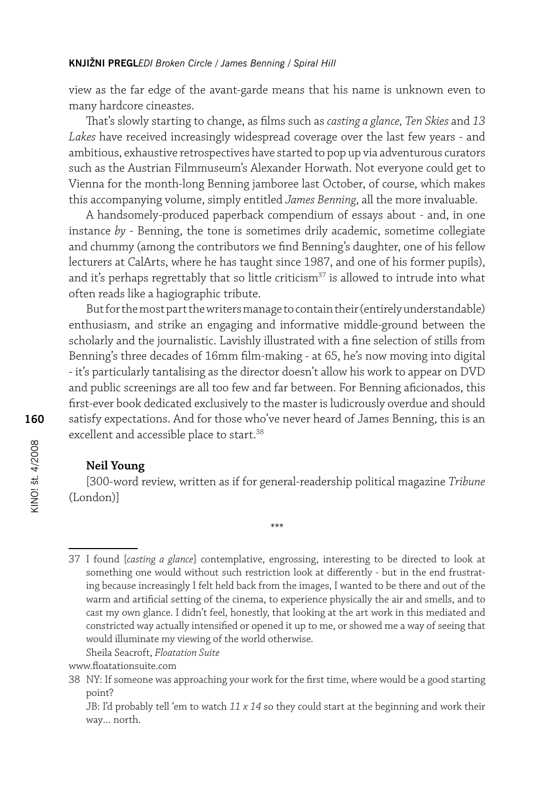view as the far edge of the avant-garde means that his name is unknown even to many hardcore cineastes.

That's slowly starting to change, as films such as *casting a glance, Ten Skies* and *13 Lakes* have received increasingly widespread coverage over the last few years - and ambitious, exhaustive retrospectives have started to pop up via adventurous curators such as the Austrian Filmmuseum's Alexander Horwath. Not everyone could get to Vienna for the month-long Benning jamboree last October, of course, which makes this accompanying volume, simply entitled *James Benning*, all the more invaluable.

A handsomely-produced paperback compendium of essays about - and, in one instance *by* - Benning, the tone is sometimes drily academic, sometime collegiate and chummy (among the contributors we find Benning's daughter, one of his fellow lecturers at CalArts, where he has taught since 1987, and one of his former pupils), and it's perhaps regrettably that so little criticism<sup>37</sup> is allowed to intrude into what often reads like a hagiographic tribute.

But for the most part the writers manage to contain their (entirely understandable) enthusiasm, and strike an engaging and informative middle-ground between the scholarly and the journalistic. Lavishly illustrated with a fine selection of stills from Benning's three decades of 16mm film-making - at 65, he's now moving into digital - it's particularly tantalising as the director doesn't allow his work to appear on DVD and public screenings are all too few and far between. For Benning aficionados, this first-ever book dedicated exclusively to the master is ludicrously overdue and should satisfy expectations. And for those who've never heard of James Benning, this is an excellent and accessible place to start.<sup>38</sup>

# **Neil Young**

[300-word review, written as if for general-readership political magazine *Tribune*  (London)]

\*\*\*

Sheila Seacroft, *Floatation Suite*

<sup>37</sup> I found [*casting a glance*] contemplative, engrossing, interesting to be directed to look at something one would without such restriction look at differently - but in the end frustrating because increasingly I felt held back from the images, I wanted to be there and out of the warm and artificial setting of the cinema, to experience physically the air and smells, and to cast my own glance. I didn't feel, honestly, that looking at the art work in this mediated and constricted way actually intensified or opened it up to me, or showed me a way of seeing that would illuminate my viewing of the world otherwise.

www.floatationsuite.com

<sup>38</sup> NY: If someone was approaching your work for the first time, where would be a good starting point?

JB: I'd probably tell 'em to watch *11 x 14* so they could start at the beginning and work their way… north.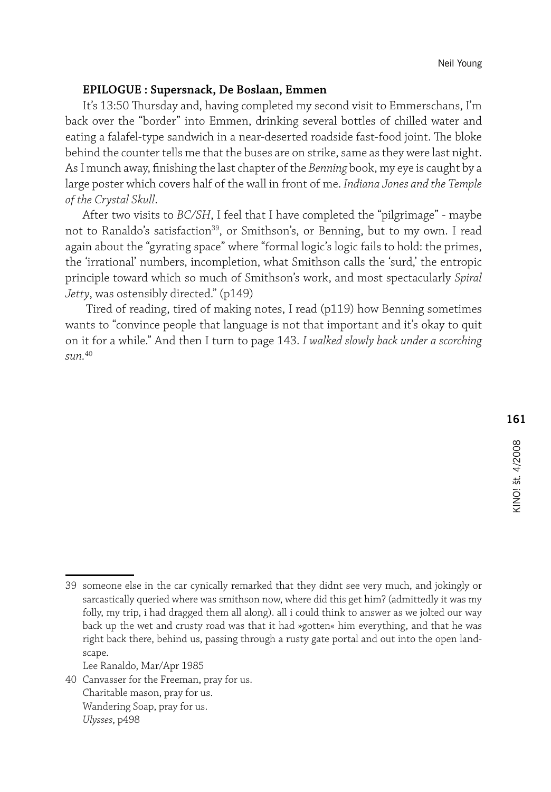# **EPILOGUE : Supersnack, De Boslaan, Emmen**

It's 13:50 Thursday and, having completed my second visit to Emmerschans, I'm back over the "border" into Emmen, drinking several bottles of chilled water and eating a falafel-type sandwich in a near-deserted roadside fast-food joint. The bloke behind the counter tells me that the buses are on strike, same as they were last night. As I munch away, finishing the last chapter of the *Benning* book, my eye is caught by a large poster which covers half of the wall in front of me. *Indiana Jones and the Temple of the Crystal Skull*.

After two visits to *BC/SH*, I feel that I have completed the "pilgrimage" - maybe not to Ranaldo's satisfaction<sup>39</sup>, or Smithson's, or Benning, but to my own. I read again about the "gyrating space" where "formal logic's logic fails to hold: the primes, the 'irrational' numbers, incompletion, what Smithson calls the 'surd,' the entropic principle toward which so much of Smithson's work, and most spectacularly *Spiral Jetty*, was ostensibly directed." (p149)

 Tired of reading, tired of making notes, I read (p119) how Benning sometimes wants to "convince people that language is not that important and it's okay to quit on it for a while." And then I turn to page 143. *I walked slowly back under a scorching sun.*<sup>40</sup>

Lee Ranaldo, Mar/Apr 1985

40 Canvasser for the Freeman, pray for us. Charitable mason, pray for us. Wandering Soap, pray for us. *Ulysses*, p498

<sup>39</sup> someone else in the car cynically remarked that they didnt see very much, and jokingly or sarcastically queried where was smithson now, where did this get him? (admittedly it was my folly, my trip, i had dragged them all along). all i could think to answer as we jolted our way back up the wet and crusty road was that it had »gotten« him everything, and that he was right back there, behind us, passing through a rusty gate portal and out into the open landscape.